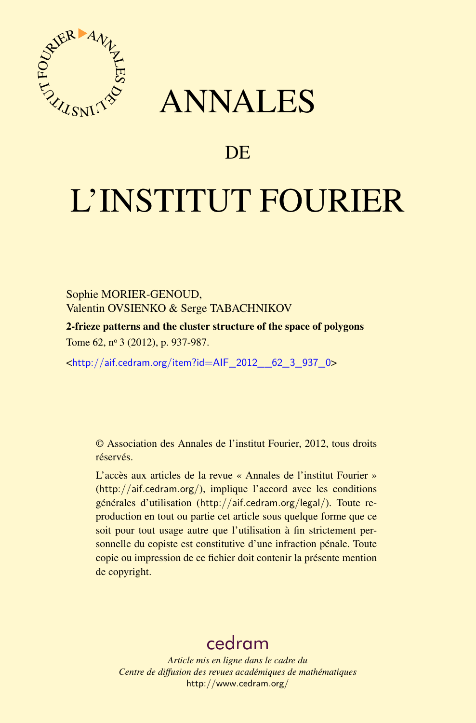

# ANNALES

## **DE**

# L'INSTITUT FOURIER

Sophie MORIER-GENOUD, Valentin OVSIENKO & Serge TABACHNIKOV

2-frieze patterns and the cluster structure of the space of polygons Tome 62, nº 3 (2012), p. 937-987.

<[http://aif.cedram.org/item?id=AIF\\_2012\\_\\_62\\_3\\_937\\_0](http://aif.cedram.org/item?id=AIF_2012__62_3_937_0)>

© Association des Annales de l'institut Fourier, 2012, tous droits réservés.

L'accès aux articles de la revue « Annales de l'institut Fourier » (<http://aif.cedram.org/>), implique l'accord avec les conditions générales d'utilisation (<http://aif.cedram.org/legal/>). Toute reproduction en tout ou partie cet article sous quelque forme que ce soit pour tout usage autre que l'utilisation à fin strictement personnelle du copiste est constitutive d'une infraction pénale. Toute copie ou impression de ce fichier doit contenir la présente mention de copyright.

## [cedram](http://www.cedram.org/)

*Article mis en ligne dans le cadre du Centre de diffusion des revues académiques de mathématiques* <http://www.cedram.org/>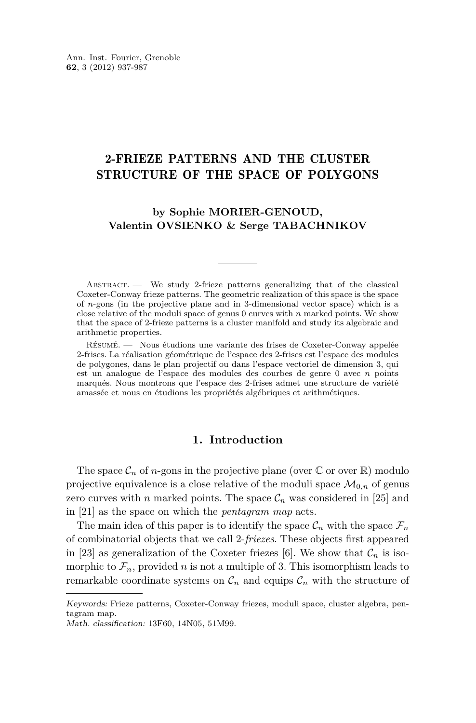### 2-FRIEZE PATTERNS AND THE CLUSTER STRUCTURE OF THE SPACE OF POLYGONS

### **by Sophie MORIER-GENOUD, Valentin OVSIENKO & Serge TABACHNIKOV**

ABSTRACT. — We study 2-frieze patterns generalizing that of the classical Coxeter-Conway frieze patterns. The geometric realization of this space is the space of *n*-gons (in the projective plane and in 3-dimensional vector space) which is a close relative of the moduli space of genus 0 curves with *n* marked points. We show that the space of 2-frieze patterns is a cluster manifold and study its algebraic and arithmetic properties.

Résumé. — Nous étudions une variante des frises de Coxeter-Conway appelée 2-frises. La réalisation géométrique de l'espace des 2-frises est l'espace des modules de polygones, dans le plan projectif ou dans l'espace vectoriel de dimension 3, qui est un analogue de l'espace des modules des courbes de genre 0 avec *n* points marqués. Nous montrons que l'espace des 2-frises admet une structure de variété amassée et nous en étudions les propriétés algébriques et arithmétiques.

### **1. Introduction**

The space  $\mathcal{C}_n$  of *n*-gons in the projective plane (over  $\mathbb C$  or over  $\mathbb R$ ) modulo projective equivalence is a close relative of the moduli space  $\mathcal{M}_{0,n}$  of genus zero curves with *n* marked points. The space  $\mathcal{C}_n$  was considered in [\[25\]](#page-51-0) and in [\[21\]](#page-51-0) as the space on which the *pentagram map* acts.

The main idea of this paper is to identify the space  $\mathcal{C}_n$  with the space  $\mathcal{F}_n$ of combinatorial objects that we call 2-*friezes*. These objects first appeared in [\[23\]](#page-51-0) as generalization of the Coxeter friezes [\[6\]](#page-50-0). We show that  $\mathcal{C}_n$  is isomorphic to  $\mathcal{F}_n$ , provided *n* is not a multiple of 3. This isomorphism leads to remarkable coordinate systems on  $\mathcal{C}_n$  and equips  $\mathcal{C}_n$  with the structure of

Keywords: Frieze patterns, Coxeter-Conway friezes, moduli space, cluster algebra, pentagram map.

Math. classification: 13F60, 14N05, 51M99.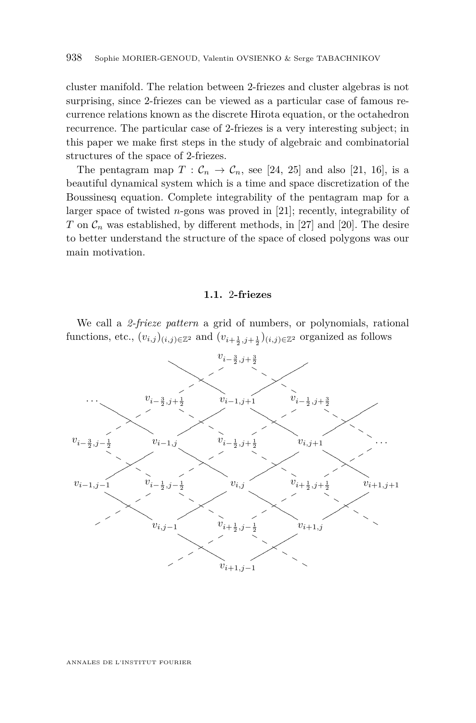cluster manifold. The relation between 2-friezes and cluster algebras is not surprising, since 2-friezes can be viewed as a particular case of famous recurrence relations known as the discrete Hirota equation, or the octahedron recurrence. The particular case of 2-friezes is a very interesting subject; in this paper we make first steps in the study of algebraic and combinatorial structures of the space of 2-friezes.

The pentagram map  $T : \mathcal{C}_n \to \mathcal{C}_n$ , see [\[24,](#page-51-0) [25\]](#page-51-0) and also [\[21,](#page-51-0) [16\]](#page-50-0), is a beautiful dynamical system which is a time and space discretization of the Boussinesq equation. Complete integrability of the pentagram map for a larger space of twisted *n*-gons was proved in [\[21\]](#page-51-0); recently, integrability of *T* on  $\mathcal{C}_n$  was established, by different methods, in [\[27\]](#page-51-0) and [\[20\]](#page-51-0). The desire to better understand the structure of the space of closed polygons was our main motivation.

### **1.1.** 2**-friezes**

We call a *2-frieze pattern* a grid of numbers, or polynomials, rational functions, etc.,  $(v_{i,j})_{(i,j)\in\mathbb{Z}^2}$  and  $(v_{i+\frac{1}{2},j+\frac{1}{2}})_{(i,j)\in\mathbb{Z}^2}$  organized as follows

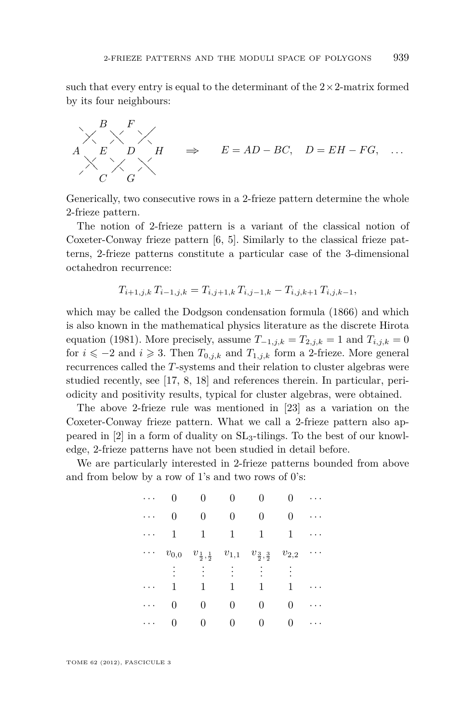such that every entry is equal to the determinant of the  $2\times 2$ -matrix formed by its four neighbours:

$$
\begin{array}{c}\n \nearrow \\
 \nearrow \\
 A \\
 \nearrow \\
 C\n \nearrow\n G\n \end{array}\n \begin{array}{c}\n F \\
 \nearrow \\
 H \\
 G\n \end{array}\n \Rightarrow\n E = AD - BC, \quad D = EH - FG, \quad \dots
$$

Generically, two consecutive rows in a 2-frieze pattern determine the whole 2-frieze pattern.

The notion of 2-frieze pattern is a variant of the classical notion of Coxeter-Conway frieze pattern [\[6,](#page-50-0) [5\]](#page-50-0). Similarly to the classical frieze patterns, 2-frieze patterns constitute a particular case of the 3-dimensional octahedron recurrence:

$$
T_{i+1,j,k} T_{i-1,j,k} = T_{i,j+1,k} T_{i,j-1,k} - T_{i,j,k+1} T_{i,j,k-1},
$$

which may be called the Dodgson condensation formula (1866) and which is also known in the mathematical physics literature as the discrete Hirota equation (1981). More precisely, assume  $T_{-1,j,k} = T_{2,j,k} = 1$  and  $T_{i,j,k} = 0$ for  $i \leq 2$  and  $i \geq 3$ . Then  $T_{0,j,k}$  and  $T_{1,j,k}$  form a 2-frieze. More general recurrences called the *T*-systems and their relation to cluster algebras were studied recently, see [\[17,](#page-50-0) [8,](#page-50-0) [18\]](#page-50-0) and references therein. In particular, periodicity and positivity results, typical for cluster algebras, were obtained.

The above 2-frieze rule was mentioned in [\[23\]](#page-51-0) as a variation on the Coxeter-Conway frieze pattern. What we call a 2-frieze pattern also appeared in  $[2]$  in a form of duality on  $SL_3$ -tilings. To the best of our knowledge, 2-frieze patterns have not been studied in detail before.

We are particularly interested in 2-frieze patterns bounded from above and from below by a row of 1's and two rows of 0's:

| 0                      | 0                             |                        |                               | 0                      |  |
|------------------------|-------------------------------|------------------------|-------------------------------|------------------------|--|
| 0                      | 0                             | 0                      | 0                             | 0                      |  |
| 1                      | 1                             | 1                      | 1                             | 1                      |  |
| $\boldsymbol{v}_{0,0}$ | $v_{\frac{1}{2},\frac{1}{2}}$ | $\boldsymbol{v}_{1,1}$ | $v_{\frac{3}{2},\frac{3}{2}}$ | $\boldsymbol{v}_{2,2}$ |  |
|                        |                               |                        |                               |                        |  |
| 1                      | 1                             | 1                      | 1                             | 1                      |  |
| 0                      | 0                             | 0                      | 0                             | 0                      |  |
| 0                      |                               | 0                      | 0                             | 0                      |  |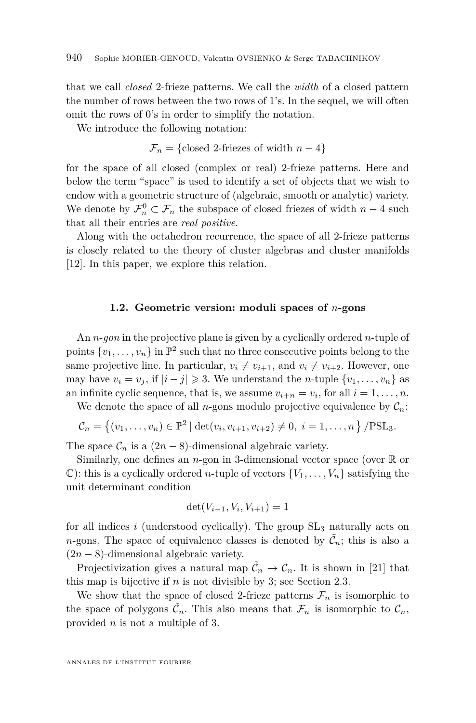<span id="page-4-0"></span>that we call *closed* 2-frieze patterns. We call the *width* of a closed pattern the number of rows between the two rows of 1's. In the sequel, we will often omit the rows of 0's in order to simplify the notation.

We introduce the following notation:

$$
\mathcal{F}_n = \{\text{closed 2-friezes of width } n-4\}
$$

for the space of all closed (complex or real) 2-frieze patterns. Here and below the term "space" is used to identify a set of objects that we wish to endow with a geometric structure of (algebraic, smooth or analytic) variety. We denote by  $\mathcal{F}_n^0 \subset \mathcal{F}_n$  the subspace of closed friezes of width  $n-4$  such that all their entries are *real positive*.

Along with the octahedron recurrence, the space of all 2-frieze patterns is closely related to the theory of cluster algebras and cluster manifolds [\[12\]](#page-50-0). In this paper, we explore this relation.

### **1.2. Geometric version: moduli spaces of** *n***-gons**

An *n*-*gon* in the projective plane is given by a cyclically ordered *n*-tuple of points  $\{v_1, \ldots, v_n\}$  in  $\mathbb{P}^2$  such that no three consecutive points belong to the same projective line. In particular,  $v_i \neq v_{i+1}$ , and  $v_i \neq v_{i+2}$ . However, one may have  $v_i = v_j$ , if  $|i - j| \geq 3$ . We understand the *n*-tuple  $\{v_1, \ldots, v_n\}$  as an infinite cyclic sequence, that is, we assume  $v_{i+n} = v_i$ , for all  $i = 1, \ldots, n$ .

We denote the space of all *n*-gons modulo projective equivalence by  $C_n$ :

$$
C_n = \{(v_1, \ldots, v_n) \in \mathbb{P}^2 \mid \det(v_i, v_{i+1}, v_{i+2}) \neq 0, i = 1, \ldots, n\} / \text{PSL}_3.
$$

The space  $\mathcal{C}_n$  is a  $(2n-8)$ -dimensional algebraic variety.

Similarly, one defines an  $n$ -gon in 3-dimensional vector space (over  $\mathbb R$  or  $\mathbb{C}$ : this is a cyclically ordered *n*-tuple of vectors  $\{V_1, \ldots, V_n\}$  satisfying the unit determinant condition

$$
\det(V_{i-1}, V_i, V_{i+1}) = 1
$$

for all indices  $i$  (understood cyclically). The group  $SL_3$  naturally acts on *n*-gons. The space of equivalence classes is denoted by  $\tilde{\mathcal{C}}_n$ ; this is also a (2*n* − 8)-dimensional algebraic variety.

Projectivization gives a natural map  $\tilde{\mathcal{C}}_n \to \mathcal{C}_n$ . It is shown in [\[21\]](#page-51-0) that this map is bijective if *n* is not divisible by 3; see Section [2.3.](#page-9-0)

We show that the space of closed 2-frieze patterns  $\mathcal{F}_n$  is isomorphic to the space of polygons  $\tilde{\mathcal{C}}_n$ . This also means that  $\mathcal{F}_n$  is isomorphic to  $\mathcal{C}_n$ , provided *n* is not a multiple of 3.

ANNALES DE L'INSTITUT FOURIER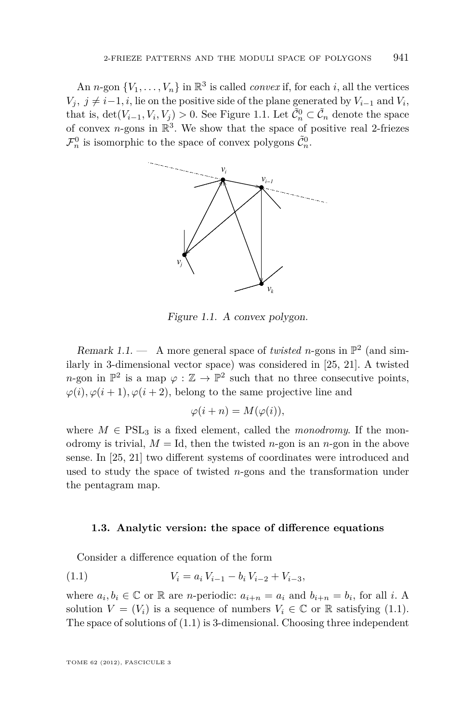<span id="page-5-0"></span>An *n*-gon  $\{V_1, \ldots, V_n\}$  in  $\mathbb{R}^3$  is called *convex* if, for each *i*, all the vertices  $V_j$ ,  $j \neq i-1$ , *i*, lie on the positive side of the plane generated by  $V_{i-1}$  and  $V_i$ , that is,  $\det(V_{i-1}, V_i, V_j) > 0$ . See Figure 1.1. Let  $\tilde{\mathcal{C}}_n^0 \subset \tilde{\mathcal{C}}_n$  denote the space of convex *n*-gons in  $\mathbb{R}^3$ . We show that the space of positive real 2-friezes  $\mathcal{F}_n^0$  is isomorphic to the space of convex polygons  $\tilde{\mathcal{C}}_n^0$ .



Figure 1.1. A convex polygon.

Remark 1.1.  $-$  A more general space of *twisted n*-gons in  $\mathbb{P}^2$  (and similarly in 3-dimensional vector space) was considered in [\[25,](#page-51-0) [21\]](#page-51-0). A twisted *n*-gon in  $\mathbb{P}^2$  is a map  $\varphi : \mathbb{Z} \to \mathbb{P}^2$  such that no three consecutive points,  $\varphi(i), \varphi(i+1), \varphi(i+2)$ , belong to the same projective line and

$$
\varphi(i+n) = M(\varphi(i)),
$$

where  $M \in \text{PSL}_3$  is a fixed element, called the *monodromy*. If the monodromy is trivial,  $M = Id$ , then the twisted *n*-gon is an *n*-gon in the above sense. In [\[25,](#page-51-0) [21\]](#page-51-0) two different systems of coordinates were introduced and used to study the space of twisted *n*-gons and the transformation under the pentagram map.

### **1.3. Analytic version: the space of difference equations**

Consider a difference equation of the form

$$
(1.1) \t\t V_i = a_i V_{i-1} - b_i V_{i-2} + V_{i-3},
$$

where  $a_i, b_i \in \mathbb{C}$  or  $\mathbb{R}$  are *n*-periodic:  $a_{i+n} = a_i$  and  $b_{i+n} = b_i$ , for all *i*. A solution  $V = (V_i)$  is a sequence of numbers  $V_i \in \mathbb{C}$  or  $\mathbb{R}$  satisfying (1.1). The space of solutions of (1.1) is 3-dimensional. Choosing three independent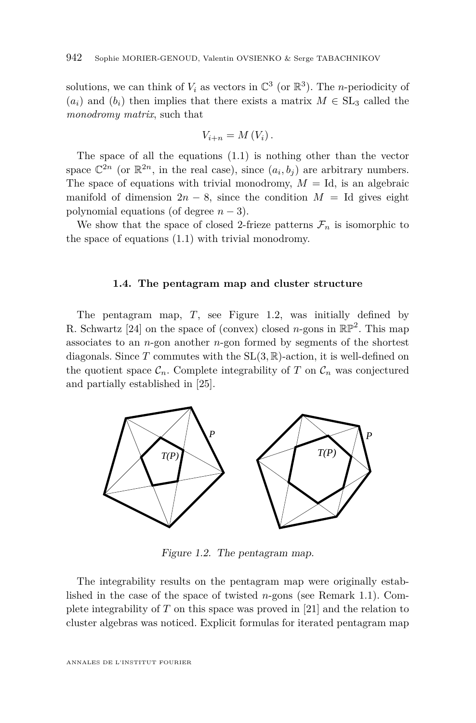solutions, we can think of  $V_i$  as vectors in  $\mathbb{C}^3$  (or  $\mathbb{R}^3$ ). The *n*-periodicity of  $(a_i)$  and  $(b_i)$  then implies that there exists a matrix  $M \in SL_3$  called the *monodromy matrix*, such that

$$
V_{i+n}=M(V_i).
$$

The space of all the equations [\(1.1\)](#page-5-0) is nothing other than the vector space  $\mathbb{C}^{2n}$  (or  $\mathbb{R}^{2n}$ , in the real case), since  $(a_i, b_j)$  are arbitrary numbers. The space of equations with trivial monodromy,  $M = Id$ , is an algebraic manifold of dimension  $2n - 8$ , since the condition  $M = Id$  gives eight polynomial equations (of degree  $n-3$ ).

We show that the space of closed 2-frieze patterns  $\mathcal{F}_n$  is isomorphic to the space of equations [\(1.1\)](#page-5-0) with trivial monodromy.

### **1.4. The pentagram map and cluster structure**

The pentagram map, *T*, see Figure 1.2, was initially defined by R. Schwartz [\[24\]](#page-51-0) on the space of (convex) closed *n*-gons in  $\mathbb{RP}^2$ . This map associates to an *n*-gon another *n*-gon formed by segments of the shortest diagonals. Since *T* commutes with the SL(3*,* R)-action, it is well-defined on the quotient space  $\mathcal{C}_n$ . Complete integrability of *T* on  $\mathcal{C}_n$  was conjectured and partially established in [\[25\]](#page-51-0).



Figure 1.2. The pentagram map.

The integrability results on the pentagram map were originally established in the case of the space of twisted *n*-gons (see Remark [1.1\)](#page-5-0). Complete integrability of *T* on this space was proved in [\[21\]](#page-51-0) and the relation to cluster algebras was noticed. Explicit formulas for iterated pentagram map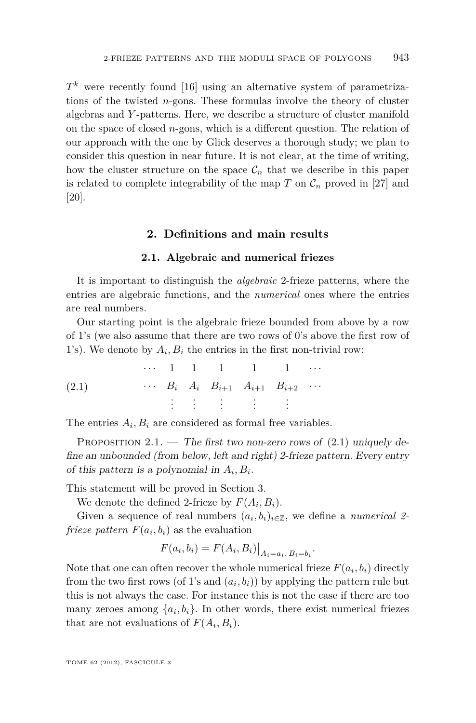<span id="page-7-0"></span>*T <sup>k</sup>* were recently found [\[16\]](#page-50-0) using an alternative system of parametrizations of the twisted *n*-gons. These formulas involve the theory of cluster algebras and *Y* -patterns. Here, we describe a structure of cluster manifold on the space of closed *n*-gons, which is a different question. The relation of our approach with the one by Glick deserves a thorough study; we plan to consider this question in near future. It is not clear, at the time of writing, how the cluster structure on the space  $\mathcal{C}_n$  that we describe in this paper is related to complete integrability of the map  $T$  on  $\mathcal{C}_n$  proved in [\[27\]](#page-51-0) and [\[20\]](#page-51-0).

### **2. Definitions and main results**

### **2.1. Algebraic and numerical friezes**

It is important to distinguish the *algebraic* 2-frieze patterns, where the entries are algebraic functions, and the *numerical* ones where the entries are real numbers.

Our starting point is the algebraic frieze bounded from above by a row of 1's (we also assume that there are two rows of 0's above the first row of 1's). We denote by  $A_i, B_i$  the entries in the first non-trivial row:

(2.1) 
$$
\cdots
$$
 1 1 1 1 1  $\cdots$   
\n $\cdots$   $B_i$   $A_i$   $B_{i+1}$   $A_{i+1}$   $B_{i+2}$   $\cdots$   
\n $\vdots$   $\vdots$   $\vdots$   $\vdots$ 

The entries  $A_i$ ,  $B_i$  are considered as formal free variables.

PROPOSITION  $2.1.$  — The first two non-zero rows of  $(2.1)$  uniquely define an unbounded (from below, left and right) 2-frieze pattern. Every entry of this pattern is a polynomial in  $A_i, B_i$ .

This statement will be proved in Section [3.](#page-13-0)

We denote the defined 2-frieze by  $F(A_i, B_i)$ .

Given a sequence of real numbers  $(a_i, b_i)_{i \in \mathbb{Z}}$ , we define a *numerical 2frieze pattern*  $F(a_i, b_i)$  as the evaluation

$$
F(a_i, b_i) = F(A_i, B_i)|_{A_i = a_i, B_i = b_i}.
$$

Note that one can often recover the whole numerical frieze  $F(a_i, b_i)$  directly from the two first rows (of 1's and  $(a_i, b_i)$ ) by applying the pattern rule but this is not always the case. For instance this is not the case if there are too many zeroes among  $\{a_i, b_i\}$ . In other words, there exist numerical friezes that are not evaluations of  $F(A_i, B_i)$ .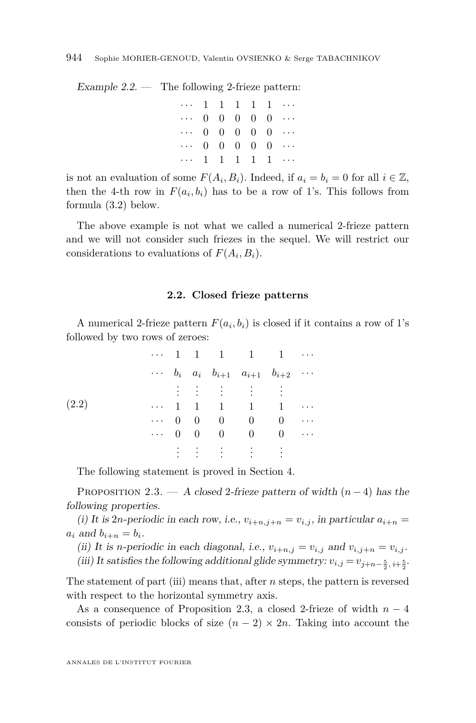<span id="page-8-0"></span>Example  $2.2$ . — The following 2-frieze pattern:

| $\cdots$ 1 1 1 1 1 $\cdots$ |  |  |                             |
|-----------------------------|--|--|-----------------------------|
| $\cdots$ 0 0 0 0 0 $\cdots$ |  |  |                             |
|                             |  |  | $\cdots$ 0 0 0 0 0 $\cdots$ |
| $\cdots$ 0 0 0 0 0          |  |  | $\sim$                      |
| $\cdots$ 11111.             |  |  |                             |

is not an evaluation of some  $F(A_i, B_i)$ . Indeed, if  $a_i = b_i = 0$  for all  $i \in \mathbb{Z}$ , then the 4-th row in  $F(a_i, b_i)$  has to be a row of 1's. This follows from formula [\(3.2\)](#page-14-0) below.

The above example is not what we called a numerical 2-frieze pattern and we will not consider such friezes in the sequel. We will restrict our considerations to evaluations of  $F(A_i, B_i)$ .

### **2.2. Closed frieze patterns**

A numerical 2-frieze pattern  $F(a_i, b_i)$  is closed if it contains a row of 1's followed by two rows of zeroes:

|       |                                                                 |                            | $\cdots$ 1 1 1 1 1 1 $\cdots$                                                                                                                                                                                                  |          |
|-------|-----------------------------------------------------------------|----------------------------|--------------------------------------------------------------------------------------------------------------------------------------------------------------------------------------------------------------------------------|----------|
|       |                                                                 |                            | $\cdots$ $b_i$ $a_i$ $b_{i+1}$ $a_{i+1}$ $b_{i+2}$ $\cdots$                                                                                                                                                                    |          |
|       |                                                                 |                            | r red and the second second and the second second in the second second in the second second in the second second in the second in the second in the second in the second in the second in the second in the second in the seco |          |
| (2.2) |                                                                 |                            | 1 1 1 1 1                                                                                                                                                                                                                      |          |
|       |                                                                 |                            | $\cdots$ 0 0 0 0 0                                                                                                                                                                                                             | $\cdots$ |
|       |                                                                 |                            | $\cdots$ 0 0 0 0 0                                                                                                                                                                                                             | $\cdots$ |
|       | $\bullet$ .<br><br><br><br><br><br><br><br><br><br><br><br><br> | Den and the second control |                                                                                                                                                                                                                                |          |

The following statement is proved in Section [4.](#page-16-0)

Proposition 2.3. — A closed 2-frieze pattern of width (*n* − 4) has the following properties.

(i) It is 2*n*-periodic in each row, i.e.,  $v_{i+n,j+n} = v_{i,j}$ , in particular  $a_{i+n} =$  $a_i$  and  $b_{i+n} = b_i$ .

(ii) It is *n*-periodic in each diagonal, i.e.,  $v_{i+n,j} = v_{i,j}$  and  $v_{i,j+n} = v_{i,j}$ . (iii) It satisfies the following additional glide symmetry:  $v_{i,j} = v_{j+n-\frac{5}{2}, i+\frac{5}{2}}$ .

The statement of part (iii) means that, after *n* steps, the pattern is reversed with respect to the horizontal symmetry axis.

As a consequence of Proposition 2.3, a closed 2-frieze of width *n* − 4 consists of periodic blocks of size  $(n-2) \times 2n$ . Taking into account the

ANNALES DE L'INSTITUT FOURIER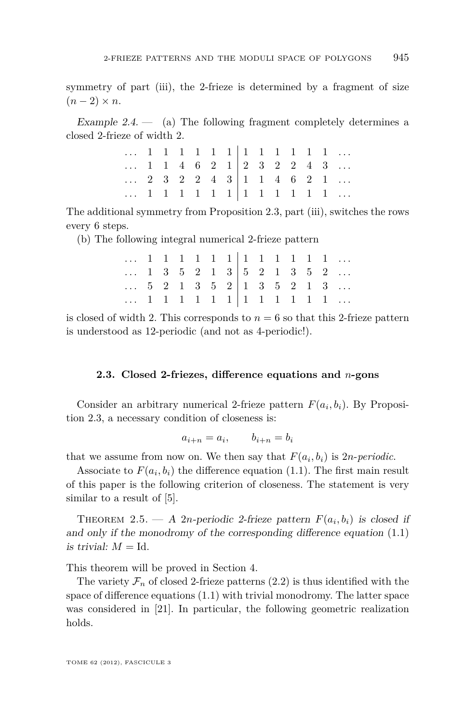<span id="page-9-0"></span>symmetry of part (iii), the 2-frieze is determined by a fragment of size  $(n-2) \times n$ .

Example 2.4.  $\qquad$  (a) The following fragment completely determines a closed 2-frieze of width 2.

| $\ldots$ 1 1 1 1 1 1   1 1 1 1 1 1 $\ldots$                                                                                                                                   |  |  |  |  |  |  |  |
|-------------------------------------------------------------------------------------------------------------------------------------------------------------------------------|--|--|--|--|--|--|--|
| $\begin{array}{ccccccccccccc} \ldots & 1 & 1 & 4 & 6 & 2 & 1 & 2 & 3 & 2 & 2 & 4 & 3 & \ldots \\ \ldots & 2 & 3 & 2 & 2 & 4 & 3 & 1 & 1 & 4 & 6 & 2 & 1 & \ldots \end{array}$ |  |  |  |  |  |  |  |
|                                                                                                                                                                               |  |  |  |  |  |  |  |
| $\ldots$ 1 1 1 1 1 1 1 1 1 1 1 1 1 $\ldots$                                                                                                                                   |  |  |  |  |  |  |  |

The additional symmetry from Proposition [2.3,](#page-8-0) part (iii), switches the rows every 6 steps.

(b) The following integral numerical 2-frieze pattern

| 1 1 1 1 1 1 1 1 1 1 1 1 1                                                                                                                    |  |  |  |  |  |  |  |
|----------------------------------------------------------------------------------------------------------------------------------------------|--|--|--|--|--|--|--|
| $\begin{array}{cccccccccccc}  & 1 & 3 & 5 & 2 & 1 & 3 & 5 & 2 & 1 & 3 &  \\  & 5 & 2 & 1 & 3 & 5 & 2 & 1 & 3 & 5 & 2 & 1 & 3 &  \end{array}$ |  |  |  |  |  |  |  |
|                                                                                                                                              |  |  |  |  |  |  |  |
| 1 1 1 1 1 1 1 1 1 1 1 1 1                                                                                                                    |  |  |  |  |  |  |  |

is closed of width 2. This corresponds to  $n = 6$  so that this 2-frieze pattern is understood as 12-periodic (and not as 4-periodic!).

### **2.3. Closed 2-friezes, difference equations and** *n***-gons**

Consider an arbitrary numerical 2-frieze pattern  $F(a_i, b_i)$ . By Proposition [2.3,](#page-8-0) a necessary condition of closeness is:

$$
a_{i+n} = a_i, \qquad b_{i+n} = b_i
$$

that we assume from now on. We then say that  $F(a_i, b_i)$  is 2*n*-*periodic*.

Associate to  $F(a_i, b_i)$  the difference equation [\(1.1\)](#page-5-0). The first main result of this paper is the following criterion of closeness. The statement is very similar to a result of [\[5\]](#page-50-0).

THEOREM 2.5. — A 2*n*-periodic 2-frieze pattern  $F(a_i, b_i)$  is closed if and only if the monodromy of the corresponding difference equation  $(1.1)$ is trivial:  $M = Id$ .

This theorem will be proved in Section [4.](#page-16-0)

The variety  $\mathcal{F}_n$  of closed 2-frieze patterns [\(2.2\)](#page-8-0) is thus identified with the space of difference equations [\(1.1\)](#page-5-0) with trivial monodromy. The latter space was considered in [\[21\]](#page-51-0). In particular, the following geometric realization holds.

TOME 62 (2012), FASCICULE 3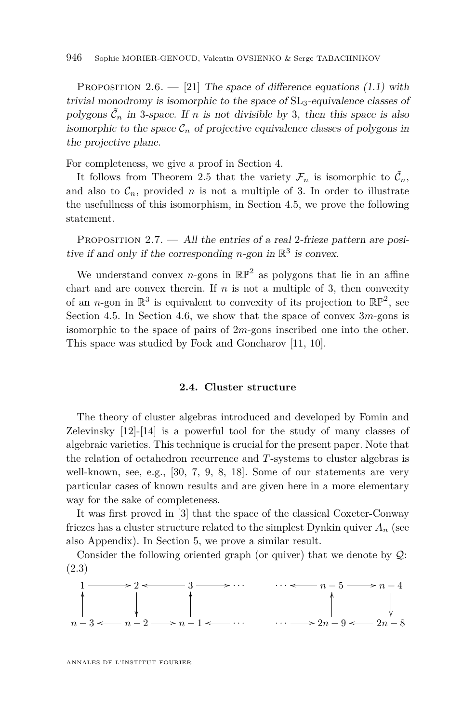<span id="page-10-0"></span>PROPOSITION 2.6.  $-$  [\[21\]](#page-51-0) The space of difference equations [\(1.1\)](#page-5-0) with trivial monodromy is isomorphic to the space of  $SL<sub>3</sub>$ -equivalence classes of polygons  $\tilde{\mathcal{C}}_n$  in 3-space. If *n* is not divisible by 3, then this space is also isomorphic to the space  $\mathcal{C}_n$  of projective equivalence classes of polygons in the projective plane.

For completeness, we give a proof in Section [4.](#page-16-0)

It follows from Theorem [2.5](#page-9-0) that the variety  $\mathcal{F}_n$  is isomorphic to  $\tilde{\mathcal{C}}_n$ , and also to  $\mathcal{C}_n$ , provided *n* is not a multiple of 3. In order to illustrate the usefullness of this isomorphism, in Section [4.5,](#page-21-0) we prove the following statement.

PROPOSITION 2.7. — All the entries of a real 2-frieze pattern are positive if and only if the corresponding *n*-gon in  $\mathbb{R}^3$  is convex.

We understand convex *n*-gons in  $\mathbb{RP}^2$  as polygons that lie in an affine chart and are convex therein. If  $n$  is not a multiple of 3, then convexity of an *n*-gon in  $\mathbb{R}^3$  is equivalent to convexity of its projection to  $\mathbb{RP}^2$ , see Section [4.5.](#page-21-0) In Section [4.6,](#page-22-0) we show that the space of convex 3*m*-gons is isomorphic to the space of pairs of 2*m*-gons inscribed one into the other. This space was studied by Fock and Goncharov [\[11,](#page-50-0) [10\]](#page-50-0).

### **2.4. Cluster structure**

The theory of cluster algebras introduced and developed by Fomin and Zelevinsky [\[12\]](#page-50-0)-[\[14\]](#page-50-0) is a powerful tool for the study of many classes of algebraic varieties. This technique is crucial for the present paper. Note that the relation of octahedron recurrence and *T*-systems to cluster algebras is well-known, see, e.g., [\[30,](#page-51-0) [7,](#page-50-0) [9,](#page-50-0) [8,](#page-50-0) [18\]](#page-50-0). Some of our statements are very particular cases of known results and are given here in a more elementary way for the sake of completeness.

It was first proved in [\[3\]](#page-50-0) that the space of the classical Coxeter-Conway friezes has a cluster structure related to the simplest Dynkin quiver  $A_n$  (see also Appendix). In Section [5,](#page-23-0) we prove a similar result.

Consider the following oriented graph (or quiver) that we denote by  $\mathcal{Q}$ : (2.3)

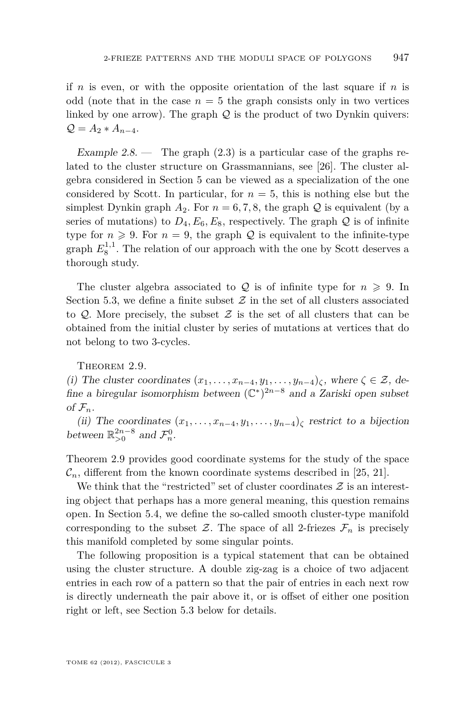<span id="page-11-0"></span>if *n* is even, or with the opposite orientation of the last square if *n* is odd (note that in the case  $n = 5$  the graph consists only in two vertices linked by one arrow). The graph  $\mathcal{Q}$  is the product of two Dynkin quivers:  $Q = A_2 * A_{n-4}.$ 

Example 2.8. — The graph  $(2.3)$  is a particular case of the graphs related to the cluster structure on Grassmannians, see [\[26\]](#page-51-0). The cluster algebra considered in Section [5](#page-23-0) can be viewed as a specialization of the one considered by Scott. In particular, for  $n = 5$ , this is nothing else but the simplest Dynkin graph  $A_2$ . For  $n = 6, 7, 8$ , the graph  $Q$  is equivalent (by a series of mutations) to  $D_4, E_6, E_8$ , respectively. The graph  $\mathcal Q$  is of infinite type for  $n \geq 9$ . For  $n = 9$ , the graph Q is equivalent to the infinite-type graph  $E_8^{1,1}$ . The relation of our approach with the one by Scott deserves a thorough study.

The cluster algebra associated to  $Q$  is of infinite type for  $n \geq 9$ . In Section [5.3,](#page-27-0) we define a finite subset  $\mathcal Z$  in the set of all clusters associated to  $Q$ . More precisely, the subset  $Z$  is the set of all clusters that can be obtained from the initial cluster by series of mutations at vertices that do not belong to two 3-cycles.

THEOREM 2.9.

(i) The cluster coordinates  $(x_1, \ldots, x_{n-4}, y_1, \ldots, y_{n-4})_\zeta$ , where  $\zeta \in \mathcal{Z}$ , define a biregular isomorphism between  $(\mathbb{C}^*)^{2n-8}$  and a Zariski open subset of  $\mathcal{F}_n$ .

(ii) The coordinates  $(x_1, \ldots, x_{n-4}, y_1, \ldots, y_{n-4})$ *ζ* restrict to a bijection between  $\mathbb{R}_{>0}^{2n-8}$  and  $\mathcal{F}_n^0$ .

Theorem 2.9 provides good coordinate systems for the study of the space  $\mathcal{C}_n$ , different from the known coordinate systems described in [\[25,](#page-51-0) [21\]](#page-51-0).

We think that the "restricted" set of cluster coordinates  $\mathcal Z$  is an interesting object that perhaps has a more general meaning, this question remains open. In Section [5.4,](#page-30-0) we define the so-called smooth cluster-type manifold corresponding to the subset  $\mathcal{Z}$ . The space of all 2-friezes  $\mathcal{F}_n$  is precisely this manifold completed by some singular points.

The following proposition is a typical statement that can be obtained using the cluster structure. A double zig-zag is a choice of two adjacent entries in each row of a pattern so that the pair of entries in each next row is directly underneath the pair above it, or is offset of either one position right or left, see Section [5.3](#page-27-0) below for details.

TOME 62 (2012), FASCICULE 3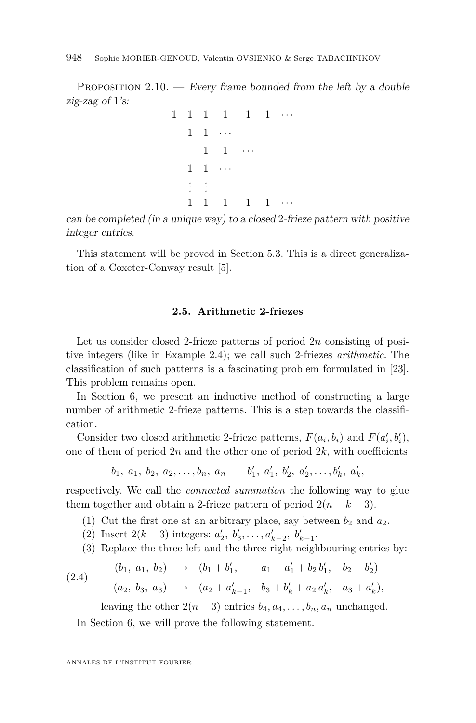<span id="page-12-0"></span>PROPOSITION  $2.10.$  — Every frame bounded from the left by a double zig-zag of 1's:

> 1 1 1 1 1 1 · · ·  $1 \quad 1 \quad \cdots$  $1 \quad 1 \quad \cdots$  $1 \quad 1 \quad \ldots$ . . . . . .  $1 \t1 \t1 \t1 \t...$

can be completed (in a unique way) to a closed 2-frieze pattern with positive integer entries.

This statement will be proved in Section [5.3.](#page-27-0) This is a direct generalization of a Coxeter-Conway result [\[5\]](#page-50-0).

### **2.5. Arithmetic 2-friezes**

Let us consider closed 2-frieze patterns of period 2*n* consisting of positive integers (like in Example [2.4\)](#page-9-0); we call such 2-friezes *arithmetic*. The classification of such patterns is a fascinating problem formulated in [\[23\]](#page-51-0). This problem remains open.

In Section [6,](#page-33-0) we present an inductive method of constructing a large number of arithmetic 2-frieze patterns. This is a step towards the classification.

Consider two closed arithmetic 2-frieze patterns,  $F(a_i, b_i)$  and  $F(a'_i, b'_i)$ , one of them of period  $2n$  and the other one of period  $2k$ , with coefficients

$$
b_1, a_1, b_2, a_2, \ldots, b_n, a_n
$$
  $b'_1, a'_1, b'_2, a'_2, \ldots, b'_k, a'_k,$ 

respectively. We call the *connected summation* the following way to glue them together and obtain a 2-frieze pattern of period  $2(n + k - 3)$ .

- (1) Cut the first one at an arbitrary place, say between  $b_2$  and  $a_2$ .
- (2) Insert  $2(k-3)$  integers:  $a'_2, b'_3, \ldots, a'_{k-2}, b'_{k-1}$ .
- (3) Replace the three left and the three right neighbouring entries by:

(2.4) 
$$
\begin{aligned}\n(b_1, a_1, b_2) &\to (b_1 + b'_1, & a_1 + a'_1 + b_2 b'_1, & b_2 + b'_2) \\
(a_2, b_3, a_3) &\to (a_2 + a'_{k-1}, & b_3 + b'_k + a_2 a'_k, & a_3 + a'_k),\n\end{aligned}
$$

leaving the other  $2(n-3)$  entries  $b_4, a_4, \ldots, b_n, a_n$  unchanged.

In Section [6,](#page-33-0) we will prove the following statement.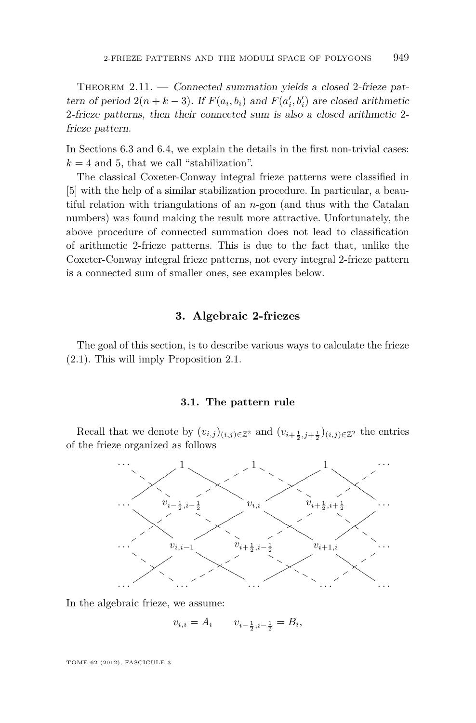<span id="page-13-0"></span>THEOREM  $2.11.$  — Connected summation yields a closed 2-frieze pattern of period  $2(n + k - 3)$ . If  $F(a_i, b_i)$  and  $F(a'_i, b'_i)$  are closed arithmetic 2-frieze patterns, then their connected sum is also a closed arithmetic 2 frieze pattern.

In Sections [6.3](#page-37-0) and [6.4,](#page-40-0) we explain the details in the first non-trivial cases:  $k = 4$  and 5, that we call "stabilization".

The classical Coxeter-Conway integral frieze patterns were classified in [\[5\]](#page-50-0) with the help of a similar stabilization procedure. In particular, a beautiful relation with triangulations of an *n*-gon (and thus with the Catalan numbers) was found making the result more attractive. Unfortunately, the above procedure of connected summation does not lead to classification of arithmetic 2-frieze patterns. This is due to the fact that, unlike the Coxeter-Conway integral frieze patterns, not every integral 2-frieze pattern is a connected sum of smaller ones, see examples below.

### **3. Algebraic 2-friezes**

The goal of this section, is to describe various ways to calculate the frieze [\(2.1\)](#page-7-0). This will imply Proposition [2.1.](#page-7-0)

### **3.1. The pattern rule**

Recall that we denote by  $(v_{i,j})_{(i,j)\in\mathbb{Z}^2}$  and  $(v_{i+\frac{1}{2},j+\frac{1}{2}})_{(i,j)\in\mathbb{Z}^2}$  the entries of the frieze organized as follows



In the algebraic frieze, we assume:

$$
v_{i,i} = A_i \qquad v_{i-\frac{1}{2},i-\frac{1}{2}} = B_i,
$$

TOME 62 (2012), FASCICULE 3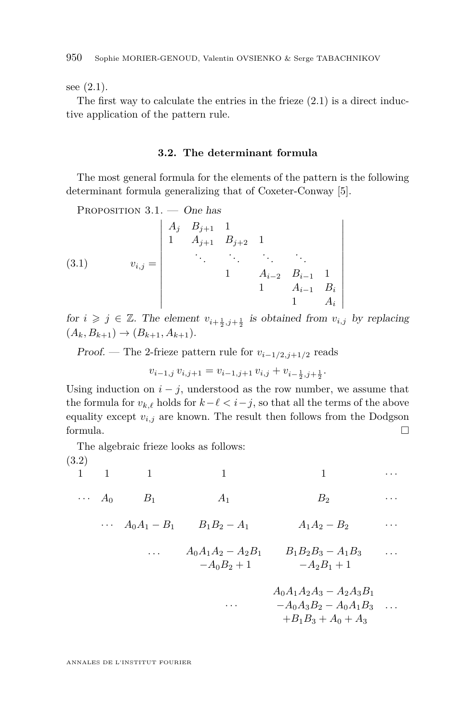<span id="page-14-0"></span>see  $(2.1)$ .

The first way to calculate the entries in the frieze  $(2.1)$  is a direct inductive application of the pattern rule.

### **3.2. The determinant formula**

The most general formula for the elements of the pattern is the following determinant formula generalizing that of Coxeter-Conway [\[5\]](#page-50-0).

Proposition 3.1. — One has

(3.1) 
$$
v_{i,j} = \begin{vmatrix} A_j & B_{j+1} & 1 & & & \\ 1 & A_{j+1} & B_{j+2} & 1 & & \\ & \ddots & \ddots & \ddots & \ddots & \\ & & 1 & A_{i-2} & B_{i-1} & 1 \\ & & & 1 & A_{i-1} & B_i \\ & & & & 1 & A_i \end{vmatrix}
$$

for  $i \geq j \in \mathbb{Z}$ . The element  $v_{i+\frac{1}{2},j+\frac{1}{2}}$  is obtained from  $v_{i,j}$  by replacing  $(A_k, B_{k+1}) \rightarrow (B_{k+1}, A_{k+1}).$ 

Proof. — The 2-frieze pattern rule for  $v_{i-1/2,j+1/2}$  reads

$$
v_{i-1,j} v_{i,j+1} = v_{i-1,j+1} v_{i,j} + v_{i-\frac{1}{2},j+\frac{1}{2}}.
$$

Using induction on  $i - j$ , understood as the row number, we assume that the formula for  $v_{k,\ell}$  holds for  $k-\ell < i-j$ , so that all the terms of the above equality except  $v_{i,j}$  are known. The result then follows from the Dodgson formula.

The algebraic frieze looks as follows: (3.2)

 $1 \quad 1 \quad 1 \quad 1 \quad 1 \quad \cdots$  $\cdots$   $A_0$   $B_1$   $A_1$   $B_2$   $\cdots$  $\cdots$  *A*<sub>0</sub>*A*<sub>1</sub> − *B*<sub>1</sub> *B*<sub>2</sub> − *A*<sub>1</sub> *A*<sub>1</sub>*A*<sub>2</sub> − *B*<sub>2</sub>  $A_0A_1A_2 - A_2B_1$   $B_1B_2B_3 - A_1B_3$  ...  $-A_0B_2 + 1$   $-A_2B_1 + 1$  $A_0A_1A_2A_3 - A_2A_3B_1$  $\cdots$  −*A*<sub>0</sub>*A*<sub>3</sub>*B*<sub>2</sub> − *A*<sub>0</sub>*A*<sub>1</sub>*B*<sub>3</sub> ...  $+B_1B_3 + A_0 + A_3$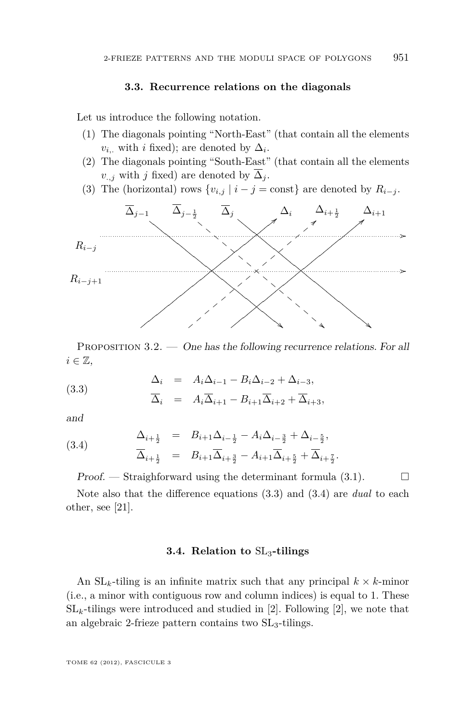### **3.3. Recurrence relations on the diagonals**

<span id="page-15-0"></span>Let us introduce the following notation.

- (1) The diagonals pointing "North-East" (that contain all the elements  $v_{i, \dots}$  with *i* fixed); are denoted by  $\Delta_i$ .
- (2) The diagonals pointing "South-East" (that contain all the elements *v*<sub>..j</sub> with *j* fixed) are denoted by  $\overline{\Delta}_i$ .
- (3) The (horizontal) rows  $\{v_{i,j} | i j = \text{const}\}\$ are denoted by  $R_{i-j}$ .



PROPOSITION  $3.2.$  — One has the following recurrence relations. For all  $i \in \mathbb{Z}$ ,

(3.3) 
$$
\Delta_i = A_i \Delta_{i-1} - B_i \Delta_{i-2} + \Delta_{i-3}, \overline{\Delta}_i = A_i \overline{\Delta}_{i+1} - B_{i+1} \overline{\Delta}_{i+2} + \overline{\Delta}_{i+3},
$$

and

(3.4) 
$$
\Delta_{i+\frac{1}{2}} = B_{i+1}\Delta_{i-\frac{1}{2}} - A_i\Delta_{i-\frac{3}{2}} + \Delta_{i-\frac{5}{2}},
$$

$$
\overline{\Delta}_{i+\frac{1}{2}} = B_{i+1}\overline{\Delta}_{i+\frac{3}{2}} - A_{i+1}\overline{\Delta}_{i+\frac{5}{2}} + \overline{\Delta}_{i+\frac{7}{2}}.
$$

Proof. — Straighforward using the determinant formula  $(3.1)$ .  $\Box$ 

Note also that the difference equations (3.3) and (3.4) are *dual* to each other, see [\[21\]](#page-51-0).

### **3.4. Relation to** SL3**-tilings**

An  $SL_k$ -tiling is an infinite matrix such that any principal  $k \times k$ -minor (i.e., a minor with contiguous row and column indices) is equal to 1. These  $SL_k$ -tilings were introduced and studied in [\[2\]](#page-50-0). Following [2], we note that an algebraic 2-frieze pattern contains two  $SL_3$ -tilings.

TOME 62 (2012), FASCICULE 3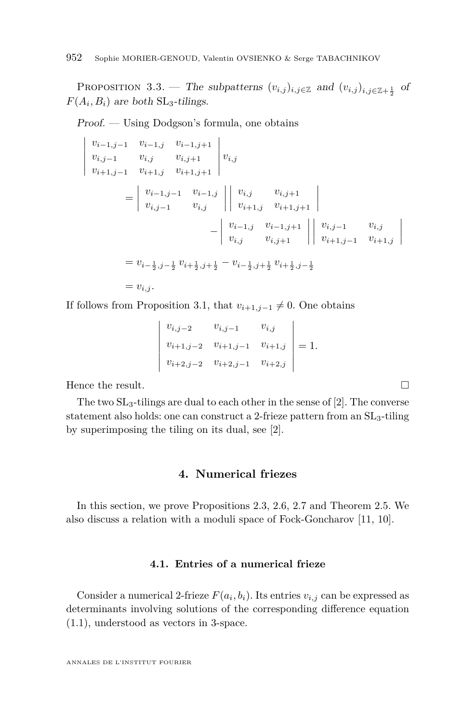<span id="page-16-0"></span>PROPOSITION 3.3. — The subpatterns  $(v_{i,j})_{i,j\in\mathbb{Z}}$  and  $(v_{i,j})_{i,j\in\mathbb{Z}+\frac{1}{2}}$  of  $F(A_i, B_i)$  are both  $SL_3$ -tilings.

Proof. — Using Dodgson's formula, one obtains

$$
\begin{vmatrix}\nv_{i-1,j-1} & v_{i-1,j} & v_{i-1,j+1} \\
v_{i,j-1} & v_{i,j} & v_{i,j+1} \\
v_{i+1,j-1} & v_{i+1,j} & v_{i+1,j+1}\n\end{vmatrix} v_{i,j} \n= \begin{vmatrix}\nv_{i-1,j-1} & v_{i-1,j} \\
v_{i,j-1} & v_{i,j}\n\end{vmatrix} \begin{vmatrix}\nv_{i,j} & v_{i,j+1} \\
v_{i+1,j} & v_{i+1,j+1}\n\end{vmatrix} \n- \begin{vmatrix}\nv_{i-1,j} & v_{i-1,j+1} \\
v_{i,j} & v_{i,j+1}\n\end{vmatrix} \begin{vmatrix}\nv_{i,j-1} & v_{i,j} \\
v_{i+1,j-1} & v_{i+1,j}\n\end{vmatrix} \n= v_{i-\frac{1}{2},j-\frac{1}{2}} v_{i+\frac{1}{2},j+\frac{1}{2}} - v_{i-\frac{1}{2},j+\frac{1}{2}} v_{i+\frac{1}{2},j-\frac{1}{2}} \n= v_{i,j}.
$$

If follows from Proposition [3.1,](#page-14-0) that  $v_{i+1,j-1} \neq 0$ . One obtains

$$
\begin{vmatrix} v_{i,j-2} & v_{i,j-1} & v_{i,j} \\ v_{i+1,j-2} & v_{i+1,j-1} & v_{i+1,j} \\ v_{i+2,j-2} & v_{i+2,j-1} & v_{i+2,j} \end{vmatrix} = 1.
$$

Hence the result.

The two  $SL_3$ -tilings are dual to each other in the sense of [\[2\]](#page-50-0). The converse statement also holds: one can construct a 2-frieze pattern from an SL3-tiling by superimposing the tiling on its dual, see [\[2\]](#page-50-0).

### **4. Numerical friezes**

In this section, we prove Propositions [2.3,](#page-8-0) [2.6,](#page-10-0) [2.7](#page-10-0) and Theorem [2.5.](#page-9-0) We also discuss a relation with a moduli space of Fock-Goncharov [\[11,](#page-50-0) [10\]](#page-50-0).

### **4.1. Entries of a numerical frieze**

Consider a numerical 2-frieze  $F(a_i, b_i)$ . Its entries  $v_{i,j}$  can be expressed as determinants involving solutions of the corresponding difference equation [\(1.1\)](#page-5-0), understood as vectors in 3-space.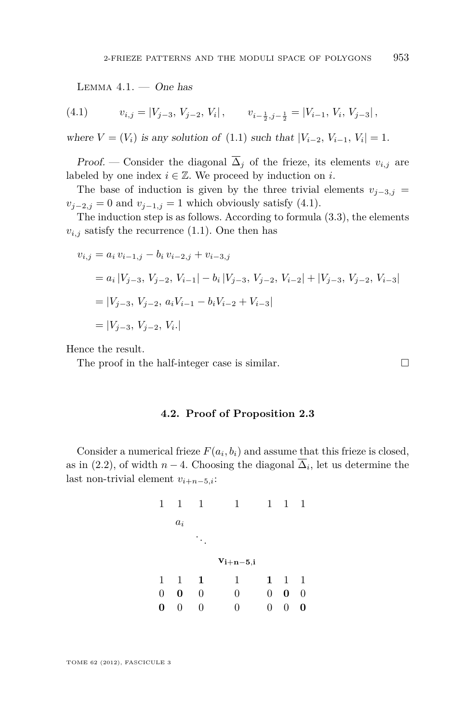<span id="page-17-0"></span>LEMMA  $4.1.$  - One has

$$
(4.1) \t v_{i,j} = |V_{j-3}, V_{j-2}, V_i|, \t v_{i-\frac{1}{2},j-\frac{1}{2}} = |V_{i-1}, V_i, V_{j-3}|,
$$

where  $V = (V_i)$  is any solution of  $(1.1)$  such that  $|V_{i-2}, V_{i-1}, V_i| = 1$ .

Proof. — Consider the diagonal  $\overline{\Delta}_j$  of the frieze, its elements  $v_{i,j}$  are labeled by one index  $i \in \mathbb{Z}$ . We proceed by induction on *i*.

The base of induction is given by the three trivial elements  $v_{i-3,j}$  =  $v_{j-2,j} = 0$  and  $v_{j-1,j} = 1$  which obviously satisfy (4.1).

The induction step is as follows. According to formula [\(3.3\)](#page-15-0), the elements  $v_{i,j}$  satisfy the recurrence [\(1.1\)](#page-5-0). One then has

$$
v_{i,j} = a_i v_{i-1,j} - b_i v_{i-2,j} + v_{i-3,j}
$$
  
=  $a_i |V_{j-3}, V_{j-2}, V_{i-1}| - b_i |V_{j-3}, V_{j-2}, V_{i-2}| + |V_{j-3}, V_{j-2}, V_{i-3}|$   
=  $|V_{j-3}, V_{j-2}, a_i V_{i-1} - b_i V_{i-2} + V_{i-3}|$   
=  $|V_{j-3}, V_{j-2}, V_{i}|\$ 

Hence the result.

The proof in the half-integer case is similar.

### **4.2. Proof of Proposition [2.3](#page-8-0)**

Consider a numerical frieze  $F(a_i, b_i)$  and assume that this frieze is closed, as in [\(2.2\)](#page-8-0), of width  $n-4$ . Choosing the diagonal  $\Delta_i$ , let us determine the last non-trivial element  $v_{i+n-5,i}$ :

| 1       | 1     | 1  | 1                      | $\mathbf{1}$   | 1 | 1            |
|---------|-------|----|------------------------|----------------|---|--------------|
|         | $a_i$ |    |                        |                |   |              |
|         |       | ٠. |                        |                |   |              |
|         |       |    | $\mathbf{v_{i+n-5,i}}$ |                |   |              |
| 1       | 1     | 1  | 1                      | 1              | 1 | $\mathbf{1}$ |
|         |       |    |                        |                |   |              |
| $\rm 0$ | 0     | 0  | 0                      | $\overline{0}$ | 0 | 0            |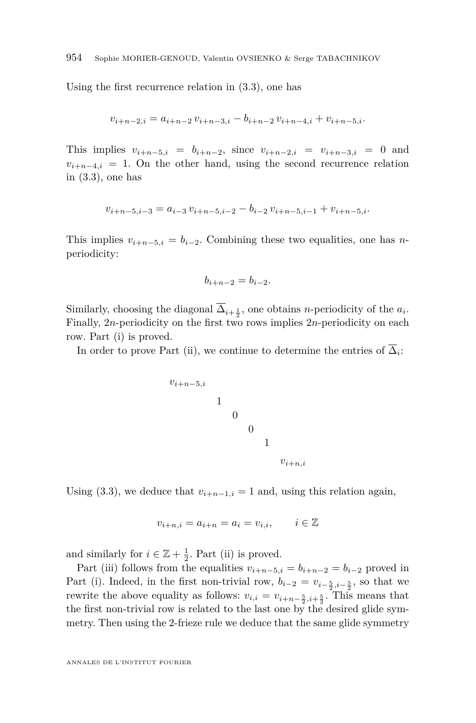Using the first recurrence relation in [\(3.3\)](#page-15-0), one has

$$
v_{i+n-2,i} = a_{i+n-2} v_{i+n-3,i} - b_{i+n-2} v_{i+n-4,i} + v_{i+n-5,i}.
$$

This implies  $v_{i+n-5,i} = b_{i+n-2}$ , since  $v_{i+n-2,i} = v_{i+n-3,i} = 0$  and  $v_{i+n-4,i} = 1$ . On the other hand, using the second recurrence relation in [\(3.3\)](#page-15-0), one has

$$
v_{i+n-5,i-3} = a_{i-3} v_{i+n-5,i-2} - b_{i-2} v_{i+n-5,i-1} + v_{i+n-5,i}.
$$

This implies  $v_{i+n-5,i} = b_{i-2}$ . Combining these two equalities, one has *n*periodicity:

$$
b_{i+n-2} = b_{i-2}.
$$

Similarly, choosing the diagonal  $\Delta_{i+\frac{1}{2}}$ , one obtains *n*-periodicity of the  $a_i$ . Finally, 2*n*-periodicity on the first two rows implies 2*n*-periodicity on each row. Part (i) is proved.

In order to prove Part (ii), we continue to determine the entries of  $\Delta_i$ :

$$
v_{i+n-5,i}
$$
\n
$$
1
$$
\n
$$
0
$$
\n
$$
0
$$
\n
$$
1
$$
\n
$$
v_{i+n,i}
$$

Using [\(3.3\)](#page-15-0), we deduce that  $v_{i+n-1,i} = 1$  and, using this relation again,

$$
v_{i+n,i} = a_{i+n} = a_i = v_{i,i}, \qquad i \in \mathbb{Z}
$$

and similarly for  $i \in \mathbb{Z} + \frac{1}{2}$ . Part (ii) is proved.

Part (iii) follows from the equalities  $v_{i+n-5,i} = b_{i+n-2} = b_{i-2}$  proved in Part (i). Indeed, in the first non-trivial row,  $b_{i-2} = v_{i-\frac{5}{2},i-\frac{5}{2}}$ , so that we rewrite the above equality as follows:  $v_{i,i} = v_{i+n-\frac{5}{2},i+\frac{5}{2}}$ . This means that the first non-trivial row is related to the last one by the desired glide symmetry. Then using the 2-frieze rule we deduce that the same glide symmetry

ANNALES DE L'INSTITUT FOURIER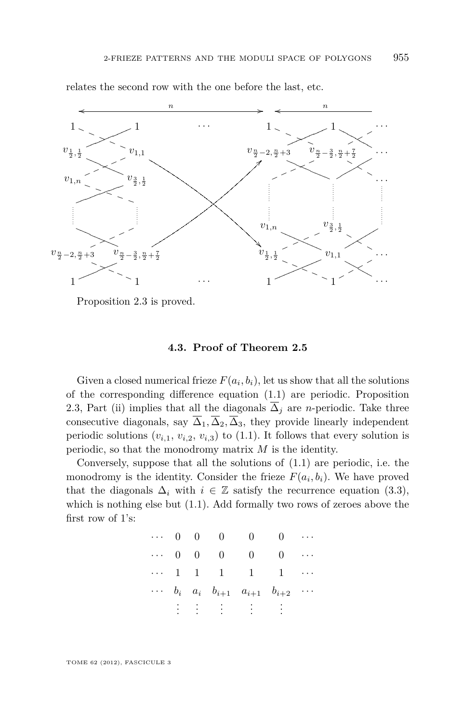

relates the second row with the one before the last, etc.

Proposition [2.3](#page-8-0) is proved.

### **4.3. Proof of Theorem [2.5](#page-9-0)**

Given a closed numerical frieze  $F(a_i, b_i)$ , let us show that all the solutions of the corresponding difference equation [\(1.1\)](#page-5-0) are periodic. Proposition [2.3,](#page-8-0) Part (ii) implies that all the diagonals  $\overline{\Delta}_j$  are *n*-periodic. Take three consecutive diagonals, say  $\overline{\Delta}_1, \overline{\Delta}_2, \overline{\Delta}_3$ , they provide linearly independent periodic solutions  $(v_{i,1}, v_{i,2}, v_{i,3})$  to [\(1.1\)](#page-5-0). It follows that every solution is periodic, so that the monodromy matrix *M* is the identity.

Conversely, suppose that all the solutions of [\(1.1\)](#page-5-0) are periodic, i.e. the monodromy is the identity. Consider the frieze  $F(a_i, b_i)$ . We have proved that the diagonals  $\Delta_i$  with  $i \in \mathbb{Z}$  satisfy the recurrence equation [\(3.3\)](#page-15-0), which is nothing else but [\(1.1\)](#page-5-0). Add formally two rows of zeroes above the first row of 1's:

$$
\begin{array}{ccccccccc}\n\cdots & 0 & 0 & 0 & 0 & 0 & \cdots \\
\cdots & 0 & 0 & 0 & 0 & 0 & \cdots \\
\cdots & 1 & 1 & 1 & 1 & 1 & \cdots \\
\cdots & b_i & a_i & b_{i+1} & a_{i+1} & b_{i+2} & \cdots \\
\vdots & \vdots & \vdots & \vdots & \vdots & \end{array}
$$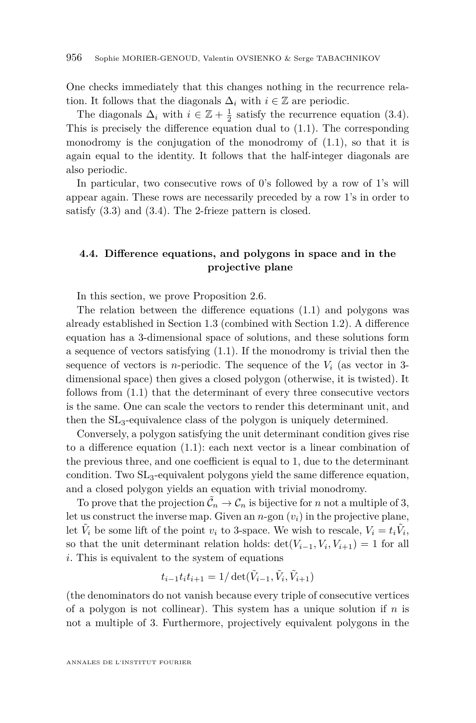<span id="page-20-0"></span>One checks immediately that this changes nothing in the recurrence relation. It follows that the diagonals  $\Delta_i$  with  $i \in \mathbb{Z}$  are periodic.

The diagonals  $\Delta_i$  with  $i \in \mathbb{Z} + \frac{1}{2}$  satisfy the recurrence equation [\(3.4\)](#page-15-0). This is precisely the difference equation dual to  $(1.1)$ . The corresponding monodromy is the conjugation of the monodromy of  $(1.1)$ , so that it is again equal to the identity. It follows that the half-integer diagonals are also periodic.

In particular, two consecutive rows of 0's followed by a row of 1's will appear again. These rows are necessarily preceded by a row 1's in order to satisfy [\(3.3\)](#page-15-0) and [\(3.4\)](#page-15-0). The 2-frieze pattern is closed.

### **4.4. Difference equations, and polygons in space and in the projective plane**

In this section, we prove Proposition [2.6.](#page-10-0)

The relation between the difference equations [\(1.1\)](#page-5-0) and polygons was already established in Section [1.3](#page-5-0) (combined with Section [1.2\)](#page-4-0). A difference equation has a 3-dimensional space of solutions, and these solutions form a sequence of vectors satisfying [\(1.1\)](#page-5-0). If the monodromy is trivial then the sequence of vectors is *n*-periodic. The sequence of the  $V_i$  (as vector in 3dimensional space) then gives a closed polygon (otherwise, it is twisted). It follows from  $(1.1)$  that the determinant of every three consecutive vectors is the same. One can scale the vectors to render this determinant unit, and then the SL3-equivalence class of the polygon is uniquely determined.

Conversely, a polygon satisfying the unit determinant condition gives rise to a difference equation [\(1.1\)](#page-5-0): each next vector is a linear combination of the previous three, and one coefficient is equal to 1, due to the determinant condition. Two  $SL_3$ -equivalent polygons yield the same difference equation, and a closed polygon yields an equation with trivial monodromy.

To prove that the projection  $\tilde{\mathcal{C}}_n \to \mathcal{C}_n$  is bijective for *n* not a multiple of 3, let us construct the inverse map. Given an  $n$ -gon  $(v_i)$  in the projective plane, let  $\tilde{V}_i$  be some lift of the point  $v_i$  to 3-space. We wish to rescale,  $V_i = t_i \tilde{V}_i$ , so that the unit determinant relation holds:  $\det(V_{i-1}, V_i, V_{i+1}) = 1$  for all *i*. This is equivalent to the system of equations

$$
t_{i-1}t_it_{i+1} = 1/\det(\tilde{V}_{i-1}, \tilde{V}_i, \tilde{V}_{i+1})
$$

(the denominators do not vanish because every triple of consecutive vertices of a polygon is not collinear). This system has a unique solution if *n* is not a multiple of 3. Furthermore, projectively equivalent polygons in the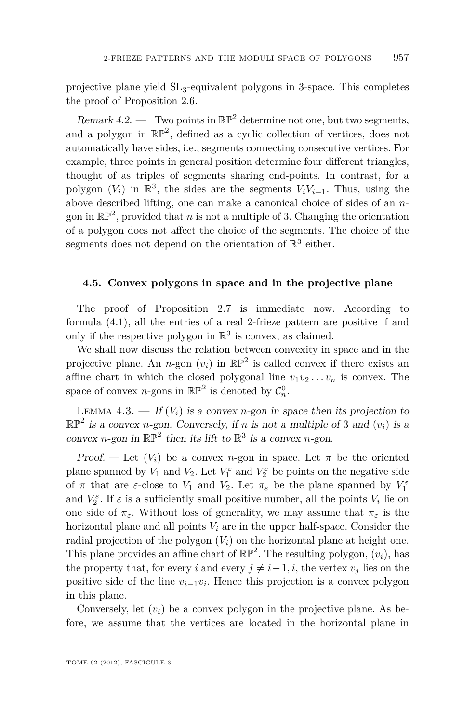<span id="page-21-0"></span>projective plane yield SL3-equivalent polygons in 3-space. This completes the proof of Proposition [2.6.](#page-10-0)

Remark  $4.2.$  — Two points in  $\mathbb{RP}^2$  determine not one, but two segments, and a polygon in  $\mathbb{RP}^2$ , defined as a cyclic collection of vertices, does not automatically have sides, i.e., segments connecting consecutive vertices. For example, three points in general position determine four different triangles, thought of as triples of segments sharing end-points. In contrast, for a polygon  $(V_i)$  in  $\mathbb{R}^3$ , the sides are the segments  $V_iV_{i+1}$ . Thus, using the above described lifting, one can make a canonical choice of sides of an *n*gon in  $\mathbb{RP}^2$ , provided that *n* is not a multiple of 3. Changing the orientation of a polygon does not affect the choice of the segments. The choice of the segments does not depend on the orientation of  $\mathbb{R}^3$  either.

### **4.5. Convex polygons in space and in the projective plane**

The proof of Proposition [2.7](#page-10-0) is immediate now. According to formula [\(4.1\)](#page-17-0), all the entries of a real 2-frieze pattern are positive if and only if the respective polygon in  $\mathbb{R}^3$  is convex, as claimed.

We shall now discuss the relation between convexity in space and in the projective plane. An *n*-gon  $(v_i)$  in  $\mathbb{RP}^2$  is called convex if there exists an affine chart in which the closed polygonal line  $v_1v_2 \ldots v_n$  is convex. The space of convex *n*-gons in  $\mathbb{RP}^2$  is denoted by  $\mathcal{C}_n^0$ .

LEMMA 4.3.  $\overline{H}(V_i)$  is a convex *n*-gon in space then its projection to  $\mathbb{RP}^2$  is a convex *n*-gon. Conversely, if *n* is not a multiple of 3 and  $(v_i)$  is a convex *n*-gon in  $\mathbb{RP}^2$  then its lift to  $\mathbb{R}^3$  is a convex *n*-gon.

Proof. — Let  $(V_i)$  be a convex *n*-gon in space. Let  $\pi$  be the oriented plane spanned by  $V_1$  and  $V_2$ . Let  $V_1^{\varepsilon}$  and  $V_2^{\varepsilon}$  be points on the negative side of  $\pi$  that are *ε*-close to  $V_1$  and  $V_2$ . Let  $\pi_{\varepsilon}$  be the plane spanned by  $V_1^{\varepsilon}$ and  $V_2^{\varepsilon}$ . If  $\varepsilon$  is a sufficiently small positive number, all the points  $V_i$  lie on one side of  $\pi_{\varepsilon}$ . Without loss of generality, we may assume that  $\pi_{\varepsilon}$  is the horizontal plane and all points  $V_i$  are in the upper half-space. Consider the radial projection of the polygon  $(V_i)$  on the horizontal plane at height one. This plane provides an affine chart of  $\mathbb{RP}^2$ . The resulting polygon,  $(v_i)$ , has the property that, for every *i* and every  $j \neq i-1, i$ , the vertex  $v_j$  lies on the positive side of the line  $v_{i-1}v_i$ . Hence this projection is a convex polygon in this plane.

Conversely, let  $(v_i)$  be a convex polygon in the projective plane. As before, we assume that the vertices are located in the horizontal plane in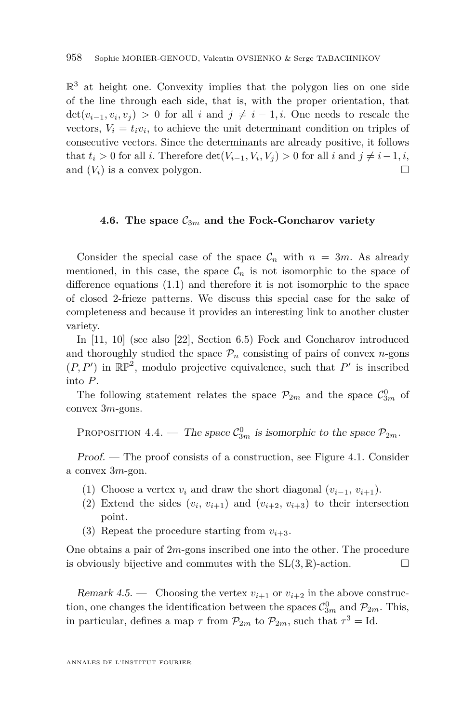<span id="page-22-0"></span> $\mathbb{R}^3$  at height one. Convexity implies that the polygon lies on one side of the line through each side, that is, with the proper orientation, that  $\det(v_{i-1}, v_i, v_j) > 0$  for all *i* and  $j \neq i-1, i$ . One needs to rescale the vectors,  $V_i = t_i v_i$ , to achieve the unit determinant condition on triples of consecutive vectors. Since the determinants are already positive, it follows that  $t_i > 0$  for all *i*. Therefore  $\det(V_{i-1}, V_i, V_j) > 0$  for all *i* and  $j \neq i-1, i$ , and  $(V_i)$  is a convex polygon.

### **4.6.** The space  $C_{3m}$  and the Fock-Goncharov variety

Consider the special case of the space  $C_n$  with  $n = 3m$ . As already mentioned, in this case, the space  $\mathcal{C}_n$  is not isomorphic to the space of difference equations [\(1.1\)](#page-5-0) and therefore it is not isomorphic to the space of closed 2-frieze patterns. We discuss this special case for the sake of completeness and because it provides an interesting link to another cluster variety.

In [\[11,](#page-50-0) [10\]](#page-50-0) (see also [\[22\]](#page-51-0), Section 6.5) Fock and Goncharov introduced and thoroughly studied the space  $\mathcal{P}_n$  consisting of pairs of convex *n*-gons  $(P, P')$  in  $\mathbb{RP}^2$ , modulo projective equivalence, such that P' is inscribed into *P*.

The following statement relates the space  $\mathcal{P}_{2m}$  and the space  $\mathcal{C}_{3m}^{0}$  of convex 3*m*-gons.

PROPOSITION 4.4. — The space  $\mathcal{C}_{3m}^0$  is isomorphic to the space  $\mathcal{P}_{2m}$ .

Proof. — The proof consists of a construction, see Figure [4.1.](#page-23-0) Consider a convex 3*m*-gon.

- (1) Choose a vertex  $v_i$  and draw the short diagonal  $(v_{i-1}, v_{i+1})$ .
- (2) Extend the sides  $(v_i, v_{i+1})$  and  $(v_{i+2}, v_{i+3})$  to their intersection point.
- (3) Repeat the procedure starting from  $v_{i+3}$ .

One obtains a pair of 2*m*-gons inscribed one into the other. The procedure is obviously bijective and commutes with the  $SL(3,\mathbb{R})$ -action.

Remark 4.5. — Choosing the vertex  $v_{i+1}$  or  $v_{i+2}$  in the above construction, one changes the identification between the spaces  $\mathcal{C}_{3m}^0$  and  $\mathcal{P}_{2m}$ . This, in particular, defines a map  $\tau$  from  $\mathcal{P}_{2m}$  to  $\mathcal{P}_{2m}$ , such that  $\tau^3 = \text{Id}$ .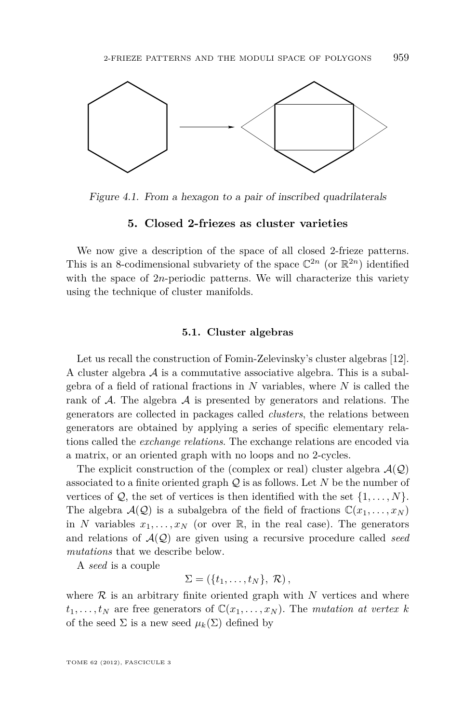<span id="page-23-0"></span>

Figure 4.1. From a hexagon to a pair of inscribed quadrilaterals

### **5. Closed 2-friezes as cluster varieties**

We now give a description of the space of all closed 2-frieze patterns. This is an 8-codimensional subvariety of the space  $\mathbb{C}^{2n}$  (or  $\mathbb{R}^{2n}$ ) identified with the space of 2*n*-periodic patterns. We will characterize this variety using the technique of cluster manifolds.

### **5.1. Cluster algebras**

Let us recall the construction of Fomin-Zelevinsky's cluster algebras [\[12\]](#page-50-0). A cluster algebra  $A$  is a commutative associative algebra. This is a subalgebra of a field of rational fractions in *N* variables, where *N* is called the rank of  $A$ . The algebra  $A$  is presented by generators and relations. The generators are collected in packages called *clusters*, the relations between generators are obtained by applying a series of specific elementary relations called the *exchange relations*. The exchange relations are encoded via a matrix, or an oriented graph with no loops and no 2-cycles.

The explicit construction of the (complex or real) cluster algebra  $\mathcal{A}(\mathcal{Q})$ associated to a finite oriented graph Q is as follows. Let *N* be the number of vertices of  $Q$ , the set of vertices is then identified with the set  $\{1, \ldots, N\}$ . The algebra  $\mathcal{A}(\mathcal{Q})$  is a subalgebra of the field of fractions  $\mathbb{C}(x_1, \ldots, x_N)$ in *N* variables  $x_1, \ldots, x_N$  (or over R, in the real case). The generators and relations of  $\mathcal{A}(\mathcal{Q})$  are given using a recursive procedure called *seed mutations* that we describe below.

A *seed* is a couple

$$
\Sigma = (\{t_1,\ldots,t_N\},\mathcal{R}),
$$

where  $\mathcal R$  is an arbitrary finite oriented graph with  $N$  vertices and where  $t_1, \ldots, t_N$  are free generators of  $\mathbb{C}(x_1, \ldots, x_N)$ . The *mutation at vertex k* of the seed  $\Sigma$  is a new seed  $\mu_k(\Sigma)$  defined by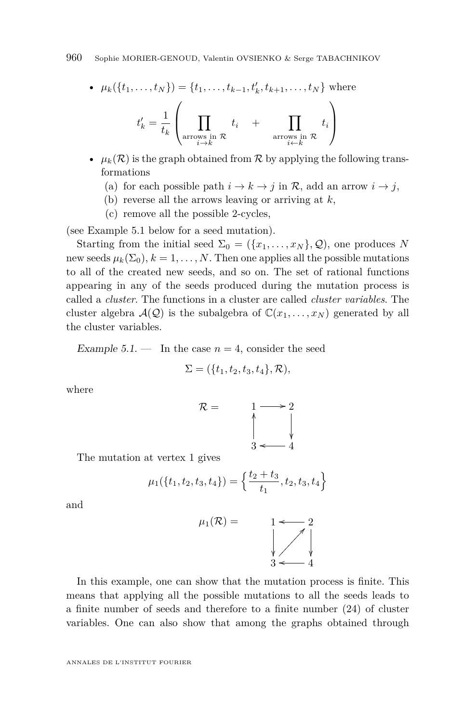• 
$$
\mu_k(\lbrace t_1, \ldots, t_N \rbrace) = \lbrace t_1, \ldots, t_{k-1}, t'_k, t_{k+1}, \ldots, t_N \rbrace
$$
 where  

$$
t'_k = \frac{1}{t_k} \left( \prod_{\substack{\text{arrows in } \mathcal{R} \\ i \to k}} t_i + \prod_{\substack{\text{arrows in } \mathcal{R} \\ i \in k}} t_i \right)
$$

- $\mu_k(\mathcal{R})$  is the graph obtained from  $\mathcal R$  by applying the following transformations
	- (a) for each possible path  $i \to k \to j$  in R, add an arrow  $i \to j$ ,
	- (b) reverse all the arrows leaving or arriving at *k*,
	- (c) remove all the possible 2-cycles,

(see Example 5.1 below for a seed mutation).

Starting from the initial seed  $\Sigma_0 = (\{x_1, \ldots, x_N\}, Q)$ , one produces N new seeds  $\mu_k(\Sigma_0), k = 1, \ldots, N$ . Then one applies all the possible mutations to all of the created new seeds, and so on. The set of rational functions appearing in any of the seeds produced during the mutation process is called a *cluster*. The functions in a cluster are called *cluster variables*. The cluster algebra  $\mathcal{A}(\mathcal{Q})$  is the subalgebra of  $\mathbb{C}(x_1, \ldots, x_N)$  generated by all the cluster variables.

Example 5.1.  $\qquad$  In the case  $n = 4$ , consider the seed

$$
\Sigma = (\{t_1, t_2, t_3, t_4\}, \mathcal{R}),
$$

where

$$
\mathcal{R} = \begin{array}{c} 1 \longrightarrow 2 \\ \uparrow \\ 3 \longleftarrow 4 \end{array}
$$

The mutation at vertex 1 gives

$$
\mu_1(\{t_1, t_2, t_3, t_4\}) = \left\{\frac{t_2 + t_3}{t_1}, t_2, t_3, t_4\right\}
$$

and

$$
\mu_1(\mathcal{R}) = \begin{array}{c} 1 & \longleftarrow \\ \downarrow & \\ \downarrow & \\ 3 & \longleftarrow \end{array} \begin{array}{c} 2 \\ \downarrow \\ 3 & \\ \downarrow \end{array}
$$

In this example, one can show that the mutation process is finite. This means that applying all the possible mutations to all the seeds leads to a finite number of seeds and therefore to a finite number (24) of cluster variables. One can also show that among the graphs obtained through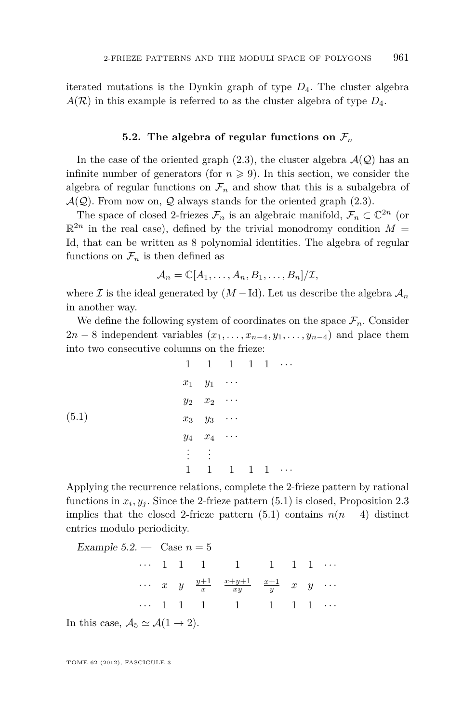<span id="page-25-0"></span>iterated mutations is the Dynkin graph of type *D*4. The cluster algebra  $A(R)$  in this example is referred to as the cluster algebra of type  $D_4$ .

### **5.2.** The algebra of regular functions on  $\mathcal{F}_n$

In the case of the oriented graph  $(2.3)$ , the cluster algebra  $\mathcal{A}(\mathcal{Q})$  has an infinite number of generators (for  $n \geq 9$ ). In this section, we consider the algebra of regular functions on  $\mathcal{F}_n$  and show that this is a subalgebra of  $\mathcal{A}(\mathcal{Q})$ . From now on,  $\mathcal Q$  always stands for the oriented graph [\(2.3\)](#page-10-0).

The space of closed 2-friezes  $\mathcal{F}_n$  is an algebraic manifold,  $\mathcal{F}_n \subset \mathbb{C}^{2n}$  (or  $\mathbb{R}^{2n}$  in the real case), defined by the trivial monodromy condition  $M =$ Id, that can be written as 8 polynomial identities. The algebra of regular functions on  $\mathcal{F}_n$  is then defined as

$$
A_n = \mathbb{C}[A_1,\ldots,A_n,B_1,\ldots,B_n]/\mathcal{I},
$$

where  $\mathcal I$  is the ideal generated by  $(M - Id)$ . Let us describe the algebra  $\mathcal A_n$ in another way.

We define the following system of coordinates on the space  $\mathcal{F}_n$ . Consider  $2n - 8$  independent variables  $(x_1, \ldots, x_{n-4}, y_1, \ldots, y_{n-4})$  and place them into two consecutive columns on the frieze:

|       |   |                      | $1 \quad 1 \quad 1 \quad 1 \quad 1 \quad \cdots$ |  |  |
|-------|---|----------------------|--------------------------------------------------|--|--|
|       |   | $x_1$ $y_1$ $\cdots$ |                                                  |  |  |
|       |   | $y_2$ $x_2$ $\cdots$ |                                                  |  |  |
| (5.1) |   | $x_3$ $y_3$          |                                                  |  |  |
|       |   | $y_4$ $x_4$ $\cdots$ |                                                  |  |  |
|       |   | B.                   |                                                  |  |  |
|       | 1 | 1                    | $1 \quad 1 \quad 1 \quad \cdots$                 |  |  |

Applying the recurrence relations, complete the 2-frieze pattern by rational functions in  $x_i, y_j$ . Since the 2-frieze pattern  $(5.1)$  is closed, Proposition [2.3](#page-8-0) implies that the closed 2-frieze pattern  $(5.1)$  contains  $n(n-4)$  distinct entries modulo periodicity.

Example  $5.2$  — Case  $n = 5$  $\cdots$  1 1 1 1 1 1  $\cdots$  $\cdots$  *x y*  $\frac{y+1}{x}$   $\frac{x+y+1}{xy}$  $\frac{x+1}{y}$  $x \quad y \quad \cdots$  $\cdots$  1 1 1 1 1 1  $\cdots$ 

In this case,  $A_5 \simeq A(1 \rightarrow 2)$ .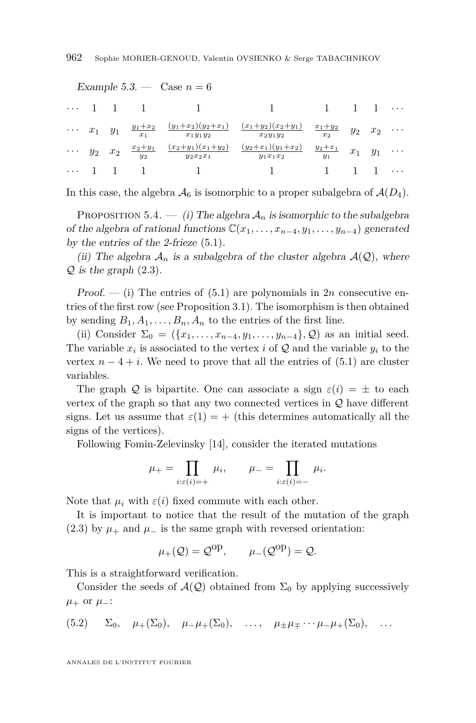<span id="page-26-0"></span>

|            |                      |                | Example 5.3. $\qquad$ Case $n = 6$                                                                          |               |                                            |                      |  |
|------------|----------------------|----------------|-------------------------------------------------------------------------------------------------------------|---------------|--------------------------------------------|----------------------|--|
|            |                      | $\cdots$ 1 1 1 | - 1                                                                                                         | $\sim$ 1      | $1 \quad 1 \quad 1 \quad $                 |                      |  |
|            | $\cdots$ $x_1$ $y_1$ |                | $rac{y_1+x_2}{x_1}$ $rac{(y_1+x_2)(y_2+x_1)}{x_1y_1y_2}$ $rac{(x_1+y_2)(x_2+y_1)}{x_2y_2y_2}$               |               | $\frac{x_1+y_2}{x_2}$                      | $y_2$ $x_2$ $\cdots$ |  |
|            | $\cdots$ $y_2$ $x_2$ |                | $\frac{x_2+y_1}{y_2} \quad \frac{(x_2+y_1)(x_1+y_2)}{y_2x_2x_1} \quad \frac{(y_2+x_1)(y_1+x_2)}{y_1x_2x_2}$ |               | $\frac{y_2+x_1}{y_1}$ $x_1$ $y_1$ $\cdots$ |                      |  |
| $\cdots$ 1 |                      |                |                                                                                                             | $-1$ and $-1$ | $-1$ $-1$                                  | $-1$                 |  |

In this case, the algebra  $\mathcal{A}_6$  is isomorphic to a proper subalgebra of  $\mathcal{A}(D_4)$ .

PROPOSITION 5.4.  $\qquad$  (i) The algebra  $\mathcal{A}_n$  is isomorphic to the subalgebra of the algebra of rational functions  $\mathbb{C}(x_1, \ldots, x_{n-4}, y_1, \ldots, y_{n-4})$  generated by the entries of the 2-frieze [\(5.1\)](#page-25-0).

(ii) The algebra  $\mathcal{A}_n$  is a subalgebra of the cluster algebra  $\mathcal{A}(\mathcal{Q})$ , where  $Q$  is the graph  $(2.3)$ .

Proof.  $-$  (i) The entries of [\(5.1\)](#page-25-0) are polynomials in 2*n* consecutive entries of the first row (see Proposition [3.1\)](#page-14-0). The isomorphism is then obtained by sending  $B_1, A_1, \ldots, B_n, A_n$  to the entries of the first line.

(ii) Consider  $\Sigma_0 = (\{x_1, \ldots, x_{n-4}, y_1, \ldots, y_{n-4}\}, Q)$  as an initial seed. The variable  $x_i$  is associated to the vertex *i* of  $Q$  and the variable  $y_i$  to the vertex  $n-4+i$ . We need to prove that all the entries of  $(5.1)$  are cluster variables.

The graph Q is bipartite. One can associate a sign  $\varepsilon(i) = \pm$  to each vertex of the graph so that any two connected vertices in  $\mathcal Q$  have different signs. Let us assume that  $\varepsilon(1) = +$  (this determines automatically all the signs of the vertices).

Following Fomin-Zelevinsky [\[14\]](#page-50-0), consider the iterated mutations

$$
\mu_+ = \prod_{i:\varepsilon(i)=+} \mu_i, \qquad \mu_- = \prod_{i:\varepsilon(i)=-} \mu_i.
$$

Note that  $\mu_i$  with  $\varepsilon(i)$  fixed commute with each other.

It is important to notice that the result of the mutation of the graph [\(2.3\)](#page-10-0) by  $\mu_+$  and  $\mu_-$  is the same graph with reversed orientation:

$$
\mu_+(\mathcal{Q}) = \mathcal{Q}^{\text{op}}, \qquad \mu_-(\mathcal{Q}^{\text{op}}) = \mathcal{Q}.
$$

This is a straightforward verification.

Consider the seeds of  $\mathcal{A}(\mathcal{Q})$  obtained from  $\Sigma_0$  by applying successively  $\mu$ <sup>+</sup> or  $\mu$ <sup>−</sup>:

$$
(5.2) \t\Sigma_0, \t\mu_+(\Sigma_0), \t\mu_-\mu_+(\Sigma_0), \t\ldots, \t\mu_{\pm}\mu_{\mp} \cdots \mu_{-\mu_+(\Sigma_0)}, \ldots
$$

ANNALES DE L'INSTITUT FOURIER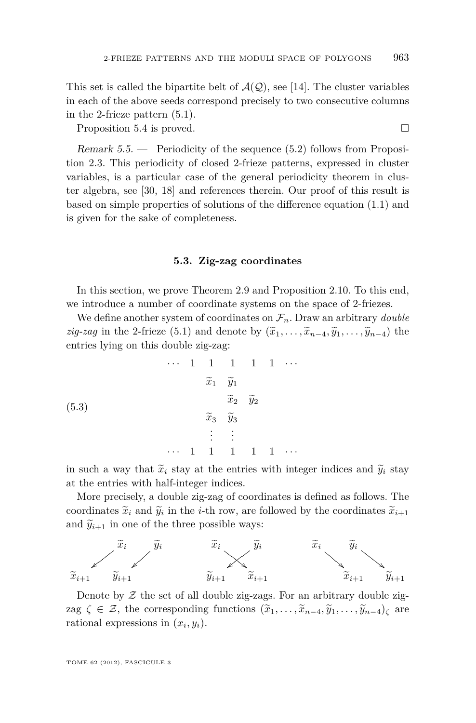<span id="page-27-0"></span>This set is called the bipartite belt of  $\mathcal{A}(\mathcal{Q})$ , see [\[14\]](#page-50-0). The cluster variables in each of the above seeds correspond precisely to two consecutive columns in the 2-frieze pattern [\(5.1\)](#page-25-0).

Proposition [5.4](#page-26-0) is proved.

Remark 5.5. — Periodicity of the sequence [\(5.2\)](#page-26-0) follows from Proposition [2.3.](#page-8-0) This periodicity of closed 2-frieze patterns, expressed in cluster variables, is a particular case of the general periodicity theorem in cluster algebra, see [\[30,](#page-51-0) [18\]](#page-50-0) and references therein. Our proof of this result is based on simple properties of solutions of the difference equation [\(1.1\)](#page-5-0) and is given for the sake of completeness.

### **5.3. Zig-zag coordinates**

In this section, we prove Theorem [2.9](#page-11-0) and Proposition [2.10.](#page-12-0) To this end, we introduce a number of coordinate systems on the space of 2-friezes.

We define another system of coordinates on  $\mathcal{F}_n$ . Draw an arbitrary *double zig-zag* in the 2-frieze [\(5.1\)](#page-25-0) and denote by  $(\widetilde{x}_1, \ldots, \widetilde{x}_{n-4}, \widetilde{y}_1, \ldots, \widetilde{y}_{n-4})$  the entries lying on this double zig-zag:

(5.3)  
\n
$$
\begin{array}{ccccccccc}\n&\cdots & 1 & 1 & 1 & 1 & 1 & \cdots \\
& & & & & & & \widetilde{x}_1 & \widetilde{y}_1 \\
& & & & & & & & \widetilde{x}_2 & \widetilde{y}_2 \\
& & & & & & & & \widetilde{x}_3 & \widetilde{y}_3 \\
& & & & & & & & \vdots & \vdots \\
& & & & & & & & & \cdots & 1 & 1 & 1 & 1 & 1 & \cdots\n\end{array}
$$

in such a way that  $\tilde{x}_i$  stay at the entries with integer indices and  $\tilde{y}_i$  stay at the entries with half-integer indices.

More precisely, a double zig-zag of coordinates is defined as follows. The coordinates  $\tilde{x}_i$  and  $\tilde{y}_i$  in the *i*-th row, are followed by the coordinates  $\tilde{x}_{i+1}$ and  $\widetilde{y}_{i+1}$  in one of the three possible ways:



Denote by  $\mathcal Z$  the set of all double zig-zags. For an arbitrary double zigzag  $\zeta \in \mathcal{Z}$ , the corresponding functions  $(\widetilde{x}_1, \ldots, \widetilde{x}_{n-4}, \widetilde{y}_1, \ldots, \widetilde{y}_{n-4})_c$  are rational expressions in  $(x_i, y_i)$ .

TOME 62 (2012), FASCICULE 3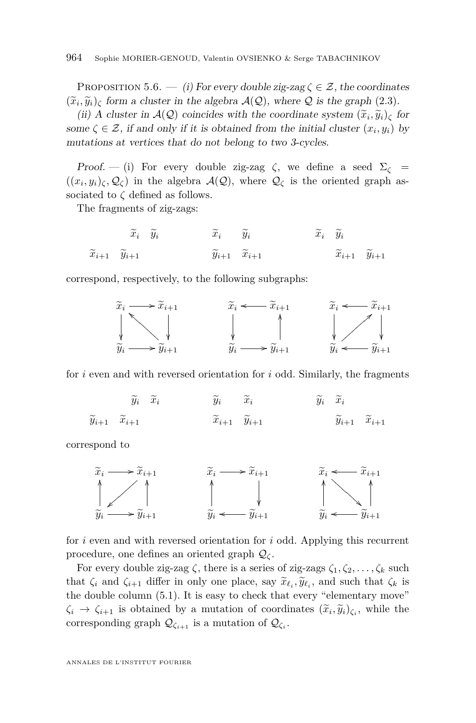PROPOSITION 5.6. — (i) For every double zig-zag  $\zeta \in \mathcal{Z}$ , the coordinates  $(\widetilde{x}_i, \widetilde{y}_i)_{\zeta}$  form a cluster in the algebra  $\mathcal{A}(\mathcal{Q})$ , where  $\mathcal Q$  is the graph [\(2.3\)](#page-10-0).

(ii) A cluster in  $\mathcal{A}(\mathcal{Q})$  coincides with the coordinate system  $(\tilde{x}_i, \tilde{y}_i)_{\zeta}$  for  $\max(\zeta \in \mathcal{Z}^{\mathcal{I}})$  for  $\zeta \in \mathcal{Z}$  if and only if it is obtained from the initial cluster  $(x, y_i)$  by some  $\zeta \in \mathcal{Z}$ , if and only if it is obtained from the initial cluster  $(x_i, y_i)$  by mutations at vertices that do not belong to two 3-cycles.

Proof. — (i) For every double zig-zag  $\zeta$ , we define a seed  $\Sigma_{\zeta}$  =  $((x_i, y_i)_{\zeta}, \mathcal{Q}_{\zeta})$  in the algebra  $\mathcal{A}(\mathcal{Q})$ , where  $\mathcal{Q}_{\zeta}$  is the oriented graph associated to  $\zeta$  defined as follows.

The fragments of zig-zags:

$$
\begin{array}{cccc}\n\widetilde{x}_i & \widetilde{y}_i & \widetilde{x}_i & \widetilde{y}_i & \widetilde{x}_i & \widetilde{y}_i \\
\widetilde{x}_{i+1} & \widetilde{y}_{i+1} & \widetilde{y}_{i+1} & \widetilde{x}_{i+1} & \widetilde{x}_{i+1} & \widetilde{y}_{i+1} \\
\end{array}
$$

correspond, respectively, to the following subgraphs:



for *i* even and with reversed orientation for *i* odd. Similarly, the fragments

 $\widetilde{y}_i$   $\widetilde{x}_i$  $\widetilde{y}_i$   $\widetilde{x}_i$  $\widetilde{y}_i$   $\widetilde{x}_i$ 

 $\widetilde{y}_{i+1}$   $\widetilde{x}_{i+1}$  $\widetilde{x}_{i+1}$   $\widetilde{y}_{i+1}$  $\widetilde{y}_{i+1}$   $\widetilde{x}_{i+1}$ 

correspond to



for *i* even and with reversed orientation for *i* odd. Applying this recurrent procedure, one defines an oriented graph Q*<sup>ζ</sup>* .

For every double zig-zag  $\zeta$ , there is a series of zig-zags  $\zeta_1, \zeta_2, \ldots, \zeta_k$  such that  $\zeta_i$  and  $\zeta_{i+1}$  differ in only one place, say  $\tilde{x}_{\ell_i}, \tilde{y}_{\ell_i}$ , and such that  $\zeta_k$  is<br>the double solumn (5.1) It is easy to shock that even "demontony move" the double column [\(5.1\)](#page-25-0). It is easy to check that every "elementary move"  $\zeta_i \to \zeta_{i+1}$  is obtained by a mutation of coordinates  $(\tilde{x}_i, \tilde{y}_i)_{\zeta_i}$ , while the corresponding graph  $\mathcal{Q}_{\zeta_{i+1}}$  is a mutation of  $\mathcal{Q}_{\zeta_i}$ .

ANNALES DE L'INSTITUT FOURIER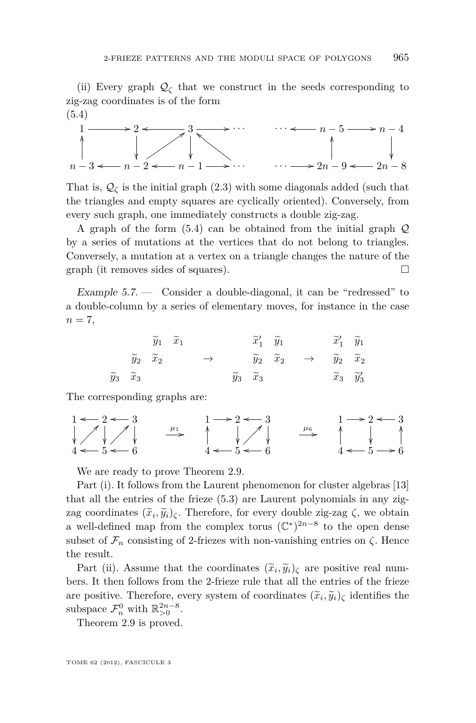(ii) Every graph  $\mathcal{Q}_{\zeta}$  that we construct in the seeds corresponding to zig-zag coordinates is of the form



That is,  $\mathcal{Q}_{\zeta}$  is the initial graph [\(2.3\)](#page-10-0) with some diagonals added (such that the triangles and empty squares are cyclically oriented). Conversely, from every such graph, one immediately constructs a double zig-zag.

A graph of the form  $(5.4)$  can be obtained from the initial graph  $\mathcal Q$ by a series of mutations at the vertices that do not belong to triangles. Conversely, a mutation at a vertex on a triangle changes the nature of the graph (it removes sides of squares).  $\Box$ 

Example  $5.7.$  - Consider a double-diagonal, it can be "redressed" to a double-column by a series of elementary moves, for instance in the case  $n=7$ ,

$$
\begin{array}{ccccccccc}\n\widetilde{y}_1 & \widetilde{x}_1 & & \widetilde{x}_1' & \widetilde{y}_1 & & \widetilde{x}_1' & \widetilde{y}_1 \\
\widetilde{y}_2 & \widetilde{x}_2 & & \rightarrow & \widetilde{y}_2 & \widetilde{x}_2 & \rightarrow & \widetilde{y}_2 & \widetilde{x}_2 \\
\widetilde{y}_3 & \widetilde{x}_3 & & & \widetilde{y}_3 & \widetilde{x}_3 & & \widetilde{x}_3 & \widetilde{y}_3'\n\end{array}
$$

The corresponding graphs are:

$$
\begin{array}{ccc}\n1 & \leftarrow & 2 & \leftarrow & 3 \\
\downarrow & \searrow & \searrow & \searrow & \searrow & \searrow & \searrow & \searrow & \searrow & \searrow & \searrow & \searrow & \searrow & \searrow & \searrow & \searrow & \searrow & \searrow & \searrow & \searrow & \searrow & \searrow & \searrow & \searrow & \searrow & \searrow & \searrow & \searrow & \searrow & \searrow & \searrow & \searrow & \searrow & \searrow & \searrow & \searrow & \searrow & \searrow & \searrow & \searrow & \searrow & \searrow & \searrow & \searrow & \searrow & \searrow & \searrow & \searrow & \searrow & \searrow & \searrow & \searrow & \searrow & \searrow & \searrow & \searrow & \searrow & \searrow & \searrow & \searrow & \searrow & \searrow & \searrow & \searrow & \searrow & \searrow & \searrow & \searrow & \searrow & \searrow & \searrow & \searrow & \searrow & \searrow & \searrow & \searrow & \searrow & \searrow & \searrow & \searrow & \searrow & \searrow & \searrow & \searrow & \searrow & \searrow & \searrow & \searrow & \searrow & \searrow & \searrow & \searrow & \searrow & \searrow & \searrow & \searrow & \searrow & \searrow & \searrow & \searrow & \searrow & \searrow & \searrow & \searrow & \searrow & \searrow & \searrow & \searrow & \searrow & \searrow & \searrow & \searrow & \searrow & \searrow & \searrow & \searrow & \searrow & \searrow & \searrow & \searrow & \searrow & \se
$$

We are ready to prove Theorem [2.9.](#page-11-0)

Part (i). It follows from the Laurent phenomenon for cluster algebras [\[13\]](#page-50-0) that all the entries of the frieze [\(5.3\)](#page-27-0) are Laurent polynomials in any zigzag coordinates  $(\tilde{x}_i, \tilde{y}_i)_{\zeta}$ . Therefore, for every double zig-zag  $\zeta$ , we obtain a well-defined map from the complex torus  $(\mathbb{C}^*)^{2n-8}$  to the open dense subset of  $\mathcal{F}_n$  consisting of 2-friezes with non-vanishing entries on  $\zeta$ . Hence the result.

Part (ii). Assume that the coordinates  $(\tilde{x}_i, \tilde{y}_i)_{\zeta}$  are positive real num-<br>rs. It than follows from the 2 friend what all the entries of the friend bers. It then follows from the 2-frieze rule that all the entries of the frieze are positive. Therefore, every system of coordinates  $(\tilde{x}_i, \tilde{y}_i)_{\zeta}$  identifies the arbanece  $\mathcal{I}^0$  with  $\mathbb{R}^{2n-8}$ subspace  $\mathcal{F}_n^0$  with  $\mathbb{R}_{>0}^{2n-8}$ .

Theorem [2.9](#page-11-0) is proved.

TOME 62 (2012), FASCICULE 3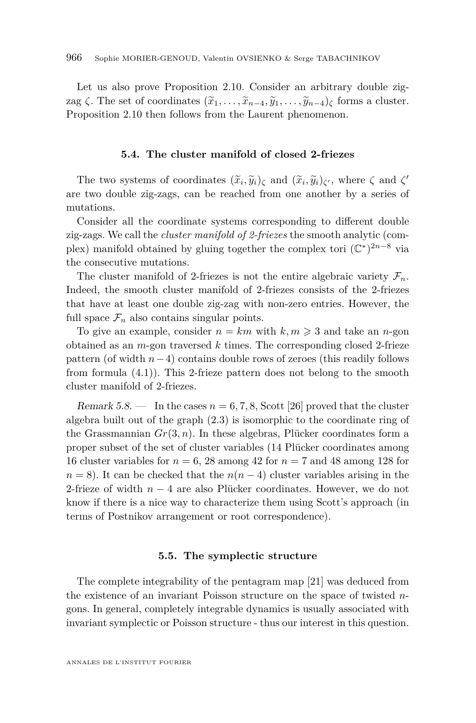<span id="page-30-0"></span>Let us also prove Proposition [2.10.](#page-12-0) Consider an arbitrary double zigzag  $\zeta$ . The set of coordinates  $(\widetilde{x}_1, \ldots, \widetilde{x}_{n-4}, \widetilde{y}_1, \ldots, \widetilde{y}_{n-4})_c$  forms a cluster. Proposition [2.10](#page-12-0) then follows from the Laurent phenomenon.

### **5.4. The cluster manifold of closed 2-friezes**

The two systems of coordinates  $(\tilde{x}_i, \tilde{y}_i)_{\zeta}$  and  $(\tilde{x}_i, \tilde{y}_i)_{\zeta'}$ , where  $\zeta$  and  $\zeta'$ are two double zig-zags, can be reached from one another by a series of mutations.

Consider all the coordinate systems corresponding to different double zig-zags. We call the *cluster manifold of 2-friezes* the smooth analytic (complex) manifold obtained by gluing together the complex tori  $(\mathbb{C}^*)^{2n-8}$  via the consecutive mutations.

The cluster manifold of 2-friezes is not the entire algebraic variety  $\mathcal{F}_n$ . Indeed, the smooth cluster manifold of 2-friezes consists of the 2-friezes that have at least one double zig-zag with non-zero entries. However, the full space  $\mathcal{F}_n$  also contains singular points.

To give an example, consider  $n = km$  with  $k, m \geq 3$  and take an *n*-gon obtained as an *m*-gon traversed *k* times. The corresponding closed 2-frieze pattern (of width *n*−4) contains double rows of zeroes (this readily follows from formula [\(4.1\)](#page-17-0)). This 2-frieze pattern does not belong to the smooth cluster manifold of 2-friezes.

Remark 5.8. — In the cases  $n = 6, 7, 8$ , Scott [\[26\]](#page-51-0) proved that the cluster algebra built out of the graph [\(2.3\)](#page-10-0) is isomorphic to the coordinate ring of the Grassmannian *Gr*(3*, n*). In these algebras, Plücker coordinates form a proper subset of the set of cluster variables (14 Plücker coordinates among 16 cluster variables for *n* = 6, 28 among 42 for *n* = 7 and 48 among 128 for  $n = 8$ ). It can be checked that the  $n(n - 4)$  cluster variables arising in the 2-frieze of width *n* − 4 are also Plücker coordinates. However, we do not know if there is a nice way to characterize them using Scott's approach (in terms of Postnikov arrangement or root correspondence).

### **5.5. The symplectic structure**

The complete integrability of the pentagram map [\[21\]](#page-51-0) was deduced from the existence of an invariant Poisson structure on the space of twisted *n*gons. In general, completely integrable dynamics is usually associated with invariant symplectic or Poisson structure - thus our interest in this question.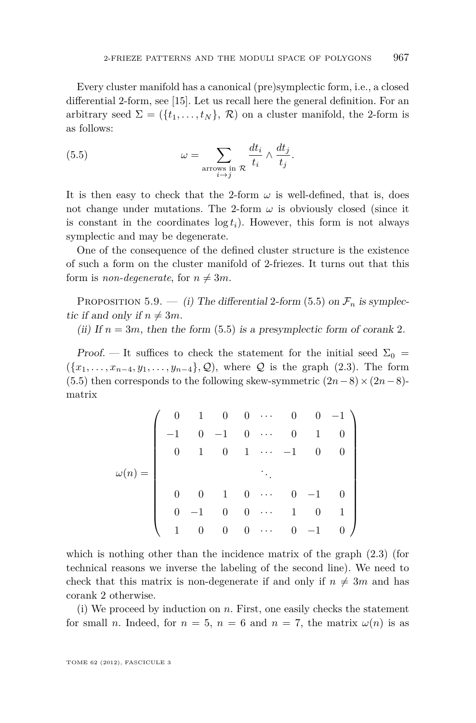Every cluster manifold has a canonical (pre)symplectic form, i.e., a closed differential 2-form, see [\[15\]](#page-50-0). Let us recall here the general definition. For an arbitrary seed  $\Sigma = (\{t_1, \ldots, t_N\}, \mathcal{R})$  on a cluster manifold, the 2-form is as follows:

(5.5) 
$$
\omega = \sum_{\substack{\text{arrows in } \mathcal{R} \\ i \to j}} \frac{dt_i}{t_i} \wedge \frac{dt_j}{t_j}.
$$

It is then easy to check that the 2-form  $\omega$  is well-defined, that is, does not change under mutations. The 2-form  $\omega$  is obviously closed (since it is constant in the coordinates  $log t_i$ ). However, this form is not always symplectic and may be degenerate.

One of the consequence of the defined cluster structure is the existence of such a form on the cluster manifold of 2-friezes. It turns out that this form is *non-degenerate*, for  $n \neq 3m$ .

PROPOSITION 5.9. — (i) The differential 2-form (5.5) on  $\mathcal{F}_n$  is symplectic if and only if  $n \neq 3m$ .

(ii) If  $n = 3m$ , then the form (5.5) is a presymplectic form of corank 2.

Proof. — It suffices to check the statement for the initial seed  $\Sigma_0 =$  $({x_1, \ldots, x_{n-4}, y_1, \ldots, y_{n-4}}, Q)$ , where Q is the graph [\(2.3\)](#page-10-0). The form (5.5) then corresponds to the following skew-symmetric  $(2n-8) \times (2n-8)$ matrix

$$
\omega(n) = \left(\begin{array}{ccccccccc} 0 & 1 & 0 & 0 & \cdots & 0 & 0 & -1 \\ -1 & 0 & -1 & 0 & \cdots & 0 & 1 & 0 \\ 0 & 1 & 0 & 1 & \cdots & -1 & 0 & 0 \\ & & & & \ddots & & & \\ 0 & 0 & 1 & 0 & \cdots & 0 & -1 & 0 \\ 0 & -1 & 0 & 0 & \cdots & 1 & 0 & 1 \\ 1 & 0 & 0 & 0 & \cdots & 0 & -1 & 0 \end{array}\right)
$$

which is nothing other than the incidence matrix of the graph [\(2.3\)](#page-10-0) (for technical reasons we inverse the labeling of the second line). We need to check that this matrix is non-degenerate if and only if  $n \neq 3m$  and has corank 2 otherwise.

(i) We proceed by induction on *n*. First, one easily checks the statement for small *n*. Indeed, for  $n = 5$ ,  $n = 6$  and  $n = 7$ , the matrix  $\omega(n)$  is as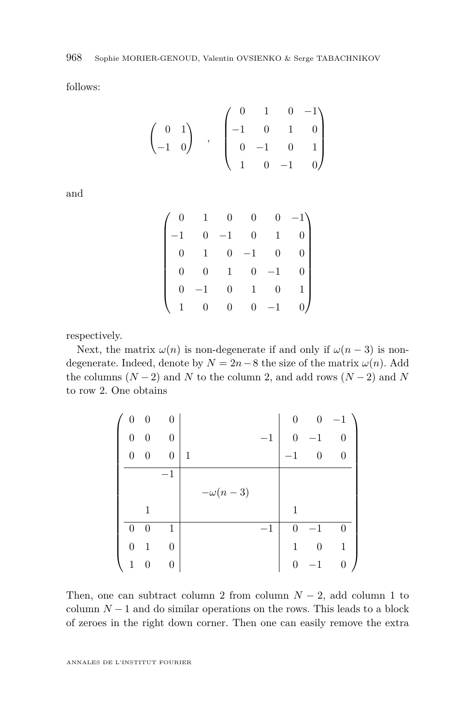follows:

$$
\begin{pmatrix}\n0 & 1 \\
-1 & 0\n\end{pmatrix}\n, \n\begin{pmatrix}\n0 & 1 & 0 & -1 \\
-1 & 0 & 1 & 0 \\
0 & -1 & 0 & 1 \\
1 & 0 & -1 & 0\n\end{pmatrix}
$$

and

| $\boldsymbol{0}$ |                  | $\overline{0}$   | $\overline{0}$   | $\mathbf{0}$ | $-1$ |
|------------------|------------------|------------------|------------------|--------------|------|
| $-1$             | 0                | $-1$             | $\boldsymbol{0}$ |              |      |
| $\boldsymbol{0}$ | 1                | $\boldsymbol{0}$ | $-1$             | 0            |      |
| $\boldsymbol{0}$ | 0                |                  | $\overline{0}$   | $-1$         |      |
| $\boldsymbol{0}$ |                  | 0                |                  | U            |      |
|                  | $\boldsymbol{0}$ | 0                | $\theta$         | $^{-1}$      |      |

respectively.

Next, the matrix  $\omega(n)$  is non-degenerate if and only if  $\omega(n-3)$  is nondegenerate. Indeed, denote by  $N = 2n - 8$  the size of the matrix  $\omega(n)$ . Add the columns  $(N-2)$  and *N* to the column 2, and add rows  $(N-2)$  and *N* to row 2. One obtains

| $\overline{0}$ | 0 | $\theta$       |   |                |      | $\theta$ | $\theta$         | $-1$           |
|----------------|---|----------------|---|----------------|------|----------|------------------|----------------|
| 0              | 0 | $\overline{0}$ |   |                | $-1$ | $\theta$ | 1                | 0              |
| 0              | 0 | $\overline{0}$ | 1 |                |      | 1        | $\boldsymbol{0}$ | $\overline{0}$ |
|                |   | $-1$           |   |                |      |          |                  |                |
|                |   |                |   | $-\omega(n-3)$ |      |          |                  |                |
|                |   |                |   |                |      | 1        |                  |                |
| $\theta$       | 0 | 1              |   |                | $-1$ | $\Omega$ | -1               | 0              |
| 0              |   | $\theta$       |   |                |      |          | 0                | 1              |
| 1              | 0 |                |   |                |      | O        | 1                | 0              |

Then, one can subtract column 2 from column  $N-2$ , add column 1 to column  $N-1$  and do similar operations on the rows. This leads to a block of zeroes in the right down corner. Then one can easily remove the extra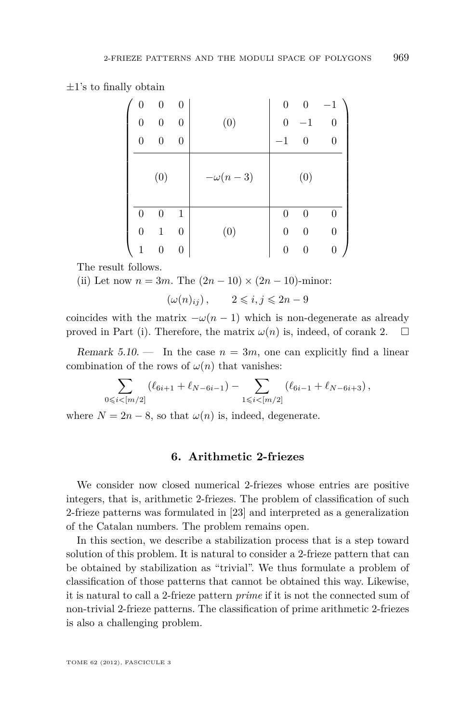| $\overline{0}$   | $\overline{0}$ | 0                |                | $\overline{0}$   | $\theta$ | - 1              |
|------------------|----------------|------------------|----------------|------------------|----------|------------------|
| $\boldsymbol{0}$ | $\overline{0}$ | 0                | (0)            | $\boldsymbol{0}$ | 1        | $\boldsymbol{0}$ |
| $\overline{0}$   | 0              | $\overline{0}$   |                | 1                | 0        | 0                |
|                  | (0)            |                  | $-\omega(n-3)$ |                  | (0)      |                  |
| $\overline{0}$   | 0              | $\mathbf{1}$     |                | $\theta$         | $\theta$ | 0                |
| $\overline{0}$   | 1              | 0                | (0)            | 0                | 0        | $\boldsymbol{0}$ |
| 1                | 0              | $\boldsymbol{0}$ |                | 0                | 0        | $\boldsymbol{0}$ |

<span id="page-33-0"></span> $\pm 1$ 's to finally obtain

The result follows.

(ii) Let now 
$$
n = 3m
$$
. The  $(2n - 10) \times (2n - 10)$ -minor:

$$
(\omega(n)_{ij}), \qquad 2 \leqslant i, j \leqslant 2n-9
$$

coincides with the matrix  $-\omega(n-1)$  which is non-degenerate as already proved in Part (i). Therefore, the matrix  $\omega(n)$  is, indeed, of corank 2.  $\square$ 

Remark 5.10. — In the case  $n = 3m$ , one can explicitly find a linear combination of the rows of  $\omega(n)$  that vanishes:

$$
\sum_{0 \leq i < [m/2]} (\ell_{6i+1} + \ell_{N-6i-1}) - \sum_{1 \leq i < [m/2]} (\ell_{6i-1} + \ell_{N-6i+3}),
$$

where  $N = 2n - 8$ , so that  $\omega(n)$  is, indeed, degenerate.

### **6. Arithmetic 2-friezes**

We consider now closed numerical 2-friezes whose entries are positive integers, that is, arithmetic 2-friezes. The problem of classification of such 2-frieze patterns was formulated in [\[23\]](#page-51-0) and interpreted as a generalization of the Catalan numbers. The problem remains open.

In this section, we describe a stabilization process that is a step toward solution of this problem. It is natural to consider a 2-frieze pattern that can be obtained by stabilization as "trivial". We thus formulate a problem of classification of those patterns that cannot be obtained this way. Likewise, it is natural to call a 2-frieze pattern *prime* if it is not the connected sum of non-trivial 2-frieze patterns. The classification of prime arithmetic 2-friezes is also a challenging problem.

TOME 62 (2012), FASCICULE 3

 $\setminus$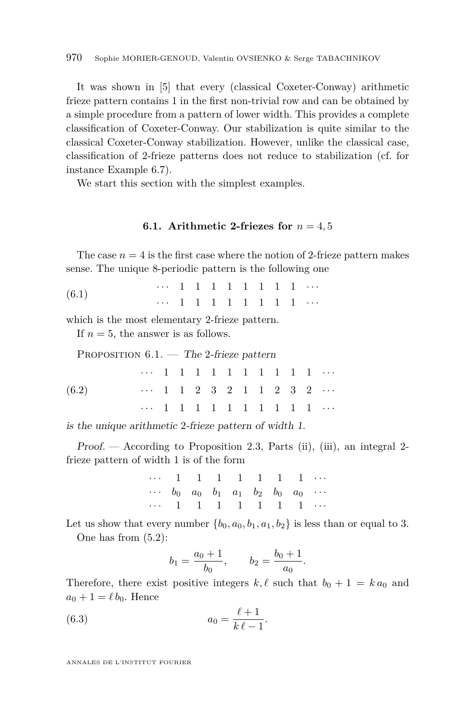<span id="page-34-0"></span>It was shown in [\[5\]](#page-50-0) that every (classical Coxeter-Conway) arithmetic frieze pattern contains 1 in the first non-trivial row and can be obtained by a simple procedure from a pattern of lower width. This provides a complete classification of Coxeter-Conway. Our stabilization is quite similar to the classical Coxeter-Conway stabilization. However, unlike the classical case, classification of 2-frieze patterns does not reduce to stabilization (cf. for instance Example [6.7\)](#page-40-0).

We start this section with the simplest examples.

### **6.1.** Arithmetic 2-friezes for  $n = 4.5$

The case  $n = 4$  is the first case where the notion of 2-frieze pattern makes sense. The unique 8-periodic pattern is the following one

(6.1) 
$$
\begin{array}{cccccccc}\n\cdot \cdot \cdot & 1 & 1 & 1 & 1 & 1 & 1 & 1 & 1 & \cdots \\
\cdot \cdot \cdot & 1 & 1 & 1 & 1 & 1 & 1 & 1 & 1 & \cdots\n\end{array}
$$

which is the most elementary 2-frieze pattern.

If  $n = 5$ , the answer is as follows.

PROPOSITION  $6.1$ . — The 2-frieze pattern

|       |  |  |  |  |  | $\cdots$ 1 1 1 1 1 1 1 1 1 1 $\cdots$ |
|-------|--|--|--|--|--|---------------------------------------|
| (6.2) |  |  |  |  |  | $\cdots$ 1 1 2 3 2 1 1 2 3 2 $\cdots$ |
|       |  |  |  |  |  | $\cdots$ 1 1 1 1 1 1 1 1 1 1 $\cdots$ |

is the unique arithmetic 2-frieze pattern of width 1.

Proof. — According to Proposition [2.3,](#page-8-0) Parts (ii), (iii), an integral 2 frieze pattern of width 1 is of the form

|  |  |  |  | $\cdots \quad 1 \quad 1 \quad 1 \quad 1 \quad 1 \quad 1 \quad 1 \quad \cdots$ |
|--|--|--|--|-------------------------------------------------------------------------------|
|  |  |  |  | $\cdots$ $b_0$ $a_0$ $b_1$ $a_1$ $b_2$ $b_0$ $a_0$ $\cdots$                   |
|  |  |  |  | $\cdots \quad 1 \quad 1 \quad 1 \quad 1 \quad 1 \quad 1 \quad 1 \quad \cdots$ |

Let us show that every number  $\{b_0, a_0, b_1, a_1, b_2\}$  is less than or equal to 3. One has from  $(5.2)$ :

The has from 
$$
(5.2)
$$
:

$$
b_1 = \frac{a_0 + 1}{b_0},
$$
  $b_2 = \frac{b_0 + 1}{a_0}.$ 

Therefore, there exist positive integers  $k, \ell$  such that  $b_0 + 1 = k a_0$  and  $a_0 + 1 = \ell b_0$ . Hence

(6.3) 
$$
a_0 = \frac{\ell+1}{k\ell-1}.
$$

ANNALES DE L'INSTITUT FOURIER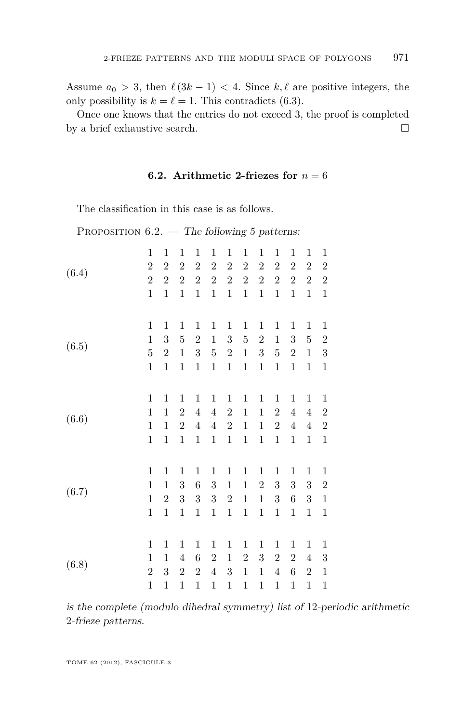<span id="page-35-0"></span>Assume  $a_0 > 3$ , then  $\ell (3k - 1) < 4$ . Since  $k, \ell$  are positive integers, the only possibility is  $k = \ell = 1$ . This contradicts [\(6.3\)](#page-34-0).

Once one knows that the entries do not exceed 3, the proof is completed by a brief exhaustive search.  $\hfill \square$ 

### **6.2.** Arithmetic 2-friezes for  $n = 6$

The classification in this case is as follows.

PROPOSITION  $6.2.$  — The following 5 patterns:

| (6.4) | 1              | $\mathbf{1}$   | $\mathbf{1}$   | $\mathbf{1}$     | $\mathbf{1}$     | $\mathbf 1$    | $\mathbf 1$    | $\mathbf 1$    | 1                | $\mathbf{1}$   | $\mathbf 1$    | $\mathbf 1$      |
|-------|----------------|----------------|----------------|------------------|------------------|----------------|----------------|----------------|------------------|----------------|----------------|------------------|
|       | $\overline{2}$ | $\overline{2}$ | $\overline{2}$ | $\overline{2}$   | $\overline{2}$   | $\overline{2}$ | $\overline{2}$ | $\overline{2}$ | $\overline{2}$   | $\overline{2}$ | $\overline{2}$ | $\sqrt{2}$       |
|       | $\overline{2}$ | $\overline{2}$ | $\overline{2}$ | $\overline{2}$   | $\sqrt{2}$       | $\overline{2}$ | $\overline{2}$ | $\overline{2}$ | $\boldsymbol{2}$ | $\overline{2}$ | $\overline{2}$ | $\sqrt{2}$       |
|       | $\mathbf{1}$   | $\mathbf{1}$   | $\mathbf{1}$   | $\mathbf{1}$     | $\mathbf{1}$     | $\mathbf{1}$   | $\mathbf{1}$   | $\mathbf{1}$   | $\mathbf{1}$     | $\mathbf{1}$   | $\mathbf{1}$   | $\mathbf{1}$     |
| (6.5) | $\mathbf{1}$   | 1              | $\mathbf{1}$   | $\mathbf{1}$     | $\mathbf 1$      | $\mathbf 1$    | $\mathbf 1$    | $\mathbf 1$    | $\mathbf 1$      | 1              | $\mathbf 1$    | $\mathbf 1$      |
|       | $\mathbf{1}$   | 3              | $\overline{5}$ | $\overline{2}$   | $\mathbf 1$      | 3              | $\overline{5}$ | $\overline{2}$ | $\mathbf 1$      | 3              | $\overline{5}$ | $\sqrt{2}$       |
|       | $\overline{5}$ | $\overline{2}$ | $\mathbf{1}$   | 3                | $\bf 5$          | $\sqrt{2}$     | $\mathbf{1}$   | $\overline{3}$ | $\bf 5$          | $\overline{2}$ | $\mathbf{1}$   | $\sqrt{3}$       |
|       | $\mathbf{1}$   | $\mathbf{1}$   | $\mathbf{1}$   | $\mathbf{1}$     | $\mathbf{1}$     | $\mathbf{1}$   | $\mathbf{1}$   | $\mathbf{1}$   | $\mathbf{1}$     | $\mathbf{1}$   | $\mathbf{1}$   | $\mathbf{1}$     |
| (6.6) | $\mathbf 1$    | 1              | $\mathbf{1}$   | $\mathbf{1}$     | $\mathbf{1}$     | 1              | $\mathbf{1}$   | $\mathbf 1$    | $\mathbf 1$      | $\mathbf{1}$   | $\mathbf{1}$   | $\mathbf 1$      |
|       | $\mathbf 1$    | 1              | $\overline{2}$ | $\overline{4}$   | $\overline{4}$   | $\overline{2}$ | $\mathbf 1$    | $\mathbf{1}$   | $\overline{2}$   | $\,4\,$        | $\overline{4}$ | $\sqrt{2}$       |
|       | 1              | $\mathbf{1}$   | $\overline{2}$ | $\overline{4}$   | $\overline{4}$   | $\overline{2}$ | $\mathbf{1}$   | $\mathbf{1}$   | $\boldsymbol{2}$ | $\,4\,$        | $\overline{4}$ | $\sqrt{2}$       |
|       | $\mathbf{1}$   | $\mathbf{1}$   | $\mathbf{1}$   | $\mathbf{1}$     | $\mathbf{1}$     | $\mathbf{1}$   | $\mathbf{1}$   | $\mathbf{1}$   | $\mathbf{1}$     | $\mathbf{1}$   | $\mathbf{1}$   | $\mathbf{1}$     |
| (6.7) | $\mathbf 1$    | 1              | $\mathbf{1}$   | $\mathbf{1}$     | $\,1$            | $\mathbf 1$    | $\mathbf 1$    | $\mathbf 1$    | $\mathbf 1$      | $\mathbf 1$    | $\,1$          | $\mathbf 1$      |
|       | $\mathbf{1}$   | $\mathbf 1$    | $\overline{3}$ | $\boldsymbol{6}$ | $\sqrt{3}$       | $\,1$          | $\mathbf{1}$   | $\overline{2}$ | $\boldsymbol{3}$ | $\sqrt{3}$     | $\,3$          | $\boldsymbol{2}$ |
|       | $\mathbf 1$    | $\overline{2}$ | 3              | 3                | $\sqrt{3}$       | $\overline{2}$ | $\mathbf{1}$   | $\mathbf{1}$   | $\boldsymbol{3}$ | $\,6$          | $\sqrt{3}$     | $\,1$            |
|       | $\mathbf{1}$   | $\mathbf{1}$   | $\mathbf{1}$   | $\mathbf{1}$     | $\,1$            | $\mathbf{1}$   | $\mathbf{1}$   | $\mathbf{1}$   | $\mathbf 1$      | $\mathbf{1}$   | $\mathbf{1}$   | $\mathbf 1$      |
| (6.8) | $\mathbf 1$    | 1              | $\mathbf{1}$   | $\mathbf{1}$     | $\,1$            | $\mathbf 1$    | $\mathbf 1$    | $\mathbf 1$    | $\mathbf 1$      | $\mathbf{1}$   | $\mathbf{1}$   | $\,1$            |
|       | 1              | $\mathbf 1$    | $\overline{4}$ | $\boldsymbol{6}$ | $\boldsymbol{2}$ | $\mathbf 1$    | $\overline{2}$ | 3              | $\overline{2}$   | $\overline{2}$ | $\overline{4}$ | $\sqrt{3}$       |
|       | $\overline{2}$ | 3              | $\overline{2}$ | $\overline{2}$   | $\overline{4}$   | $\sqrt{3}$     | $\,1$          | $\mathbf{1}$   | $\overline{4}$   | $\,6$          | $\,2$          | $\mathbf 1$      |
|       | $\mathbf{1}$   | $\mathbf 1$    | $\mathbf{1}$   | $\mathbf{1}$     | $\mathbf 1$      | $\mathbf{1}$   | $\mathbf 1$    | 1              | $\mathbf 1$      | $\mathbf{1}$   | $\mathbf 1$    | $\mathbf{1}$     |

is the complete (modulo dihedral symmetry) list of 12-periodic arithmetic 2-frieze patterns.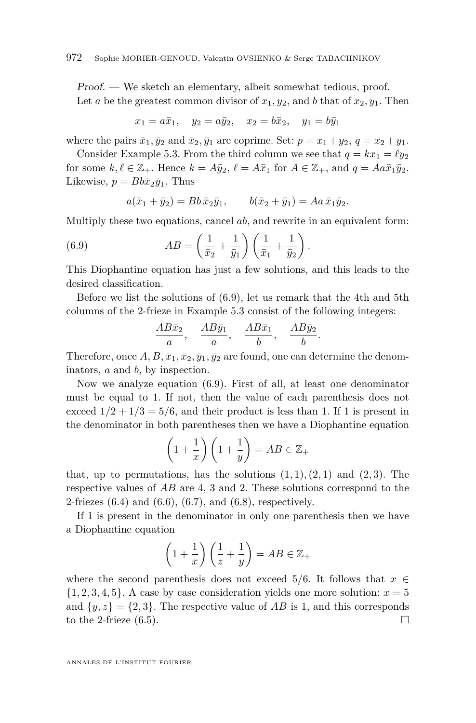Proof. — We sketch an elementary, albeit somewhat tedious, proof. Let *a* be the greatest common divisor of  $x_1, y_2$ , and *b* that of  $x_2, y_1$ . Then

$$
x_1 = a\bar{x}_1
$$
,  $y_2 = a\bar{y}_2$ ,  $x_2 = b\bar{x}_2$ ,  $y_1 = b\bar{y}_1$ 

where the pairs  $\bar{x}_1, \bar{y}_2$  and  $\bar{x}_2, \bar{y}_1$  are coprime. Set:  $p = x_1 + y_2, q = x_2 + y_1$ .

Consider Example [5.3.](#page-26-0) From the third column we see that  $q = kx_1 = \ell y_2$ for some  $k, \ell \in \mathbb{Z}_+$ . Hence  $k = A\bar{y}_2, \ell = A\bar{x}_1$  for  $A \in \mathbb{Z}_+$ , and  $q = A a\bar{x}_1 \bar{y}_2$ . Likewise,  $p = Bb\bar{x}_2\bar{y}_1$ . Thus

$$
a(\bar{x}_1 + \bar{y}_2) = Bb \bar{x}_2 \bar{y}_1,
$$
  $b(\bar{x}_2 + \bar{y}_1) = Aa \bar{x}_1 \bar{y}_2.$ 

Multiply these two equations, cancel *ab*, and rewrite in an equivalent form:

(6.9) 
$$
AB = \left(\frac{1}{\bar{x}_2} + \frac{1}{\bar{y}_1}\right) \left(\frac{1}{\bar{x}_1} + \frac{1}{\bar{y}_2}\right).
$$

This Diophantine equation has just a few solutions, and this leads to the desired classification.

Before we list the solutions of (6.9), let us remark that the 4th and 5th columns of the 2-frieze in Example [5.3](#page-26-0) consist of the following integers:

$$
\frac{AB\bar{x}_2}{a}, \quad \frac{AB\bar{y}_1}{a}, \quad \frac{AB\bar{x}_1}{b}, \quad \frac{AB\bar{y}_2}{b}.
$$

Therefore, once  $A, B, \bar{x}_1, \bar{x}_2, \bar{y}_1, \bar{y}_2$  are found, one can determine the denominators, *a* and *b*, by inspection.

Now we analyze equation (6.9). First of all, at least one denominator must be equal to 1. If not, then the value of each parenthesis does not exceed  $1/2 + 1/3 = 5/6$ , and their product is less than 1. If 1 is present in the denominator in both parentheses then we have a Diophantine equation

$$
\left(1+\frac{1}{x}\right)\left(1+\frac{1}{y}\right) = AB \in \mathbb{Z}_+
$$

that, up to permutations, has the solutions  $(1,1), (2,1)$  and  $(2,3)$ . The respective values of *AB* are 4, 3 and 2. These solutions correspond to the 2-friezes [\(6.4\)](#page-35-0) and [\(6.6\)](#page-35-0), [\(6.7\)](#page-35-0), and [\(6.8\)](#page-35-0), respectively.

If 1 is present in the denominator in only one parenthesis then we have a Diophantine equation

$$
\left(1+\frac{1}{x}\right)\left(\frac{1}{z}+\frac{1}{y}\right) = AB \in \mathbb{Z}_+
$$

where the second parenthesis does not exceed 5/6. It follows that  $x \in$  $\{1, 2, 3, 4, 5\}$ . A case by case consideration yields one more solution:  $x = 5$ and  $\{y, z\} = \{2, 3\}$ . The respective value of AB is 1, and this corresponds to the 2-frieze  $(6.5)$ .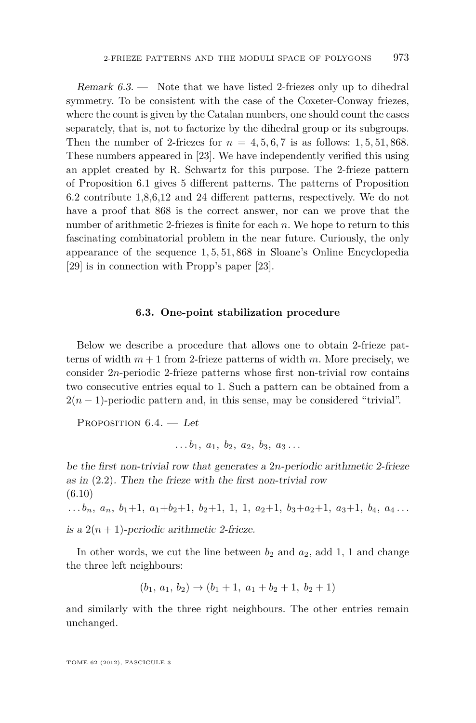<span id="page-37-0"></span>Remark  $6.3.$  — Note that we have listed 2-friezes only up to dihedral symmetry. To be consistent with the case of the Coxeter-Conway friezes, where the count is given by the Catalan numbers, one should count the cases separately, that is, not to factorize by the dihedral group or its subgroups. Then the number of 2-friezes for  $n = 4, 5, 6, 7$  is as follows: 1, 5, 51, 868. These numbers appeared in [\[23\]](#page-51-0). We have independently verified this using an applet created by R. Schwartz for this purpose. The 2-frieze pattern of Proposition [6.1](#page-34-0) gives 5 different patterns. The patterns of Proposition [6.2](#page-35-0) contribute 1,8,6,12 and 24 different patterns, respectively. We do not have a proof that 868 is the correct answer, nor can we prove that the number of arithmetic 2-friezes is finite for each *n*. We hope to return to this fascinating combinatorial problem in the near future. Curiously, the only appearance of the sequence 1*,* 5*,* 51*,* 868 in Sloane's Online Encyclopedia [\[29\]](#page-51-0) is in connection with Propp's paper [\[23\]](#page-51-0).

### **6.3. One-point stabilization procedure**

Below we describe a procedure that allows one to obtain 2-frieze patterns of width  $m+1$  from 2-frieze patterns of width m. More precisely, we consider 2*n*-periodic 2-frieze patterns whose first non-trivial row contains two consecutive entries equal to 1. Such a pattern can be obtained from a  $2(n-1)$ -periodic pattern and, in this sense, may be considered "trivial".

PROPOSITION  $6.4.$  - Let

$$
\ldots b_1, a_1, b_2, a_2, b_3, a_3 \ldots
$$

be the first non-trivial row that generates a 2*n*-periodic arithmetic 2-frieze as in [\(2.2\)](#page-8-0). Then the frieze with the first non-trivial row (6.10)  $\ldots$ *b<sub>n</sub>*, *a*<sub>n</sub>, *b*<sub>1</sub>+1, *a*<sub>1</sub>+*b*<sub>2</sub>+1, *b*<sub>2</sub>+1, 1, 1, *a*<sub>2</sub>+1, *b*<sub>3</sub>+*a*<sub>2</sub>+1, *a*<sub>3</sub>+1, *b*<sub>4</sub>, *a*<sub>4</sub> ...

is a  $2(n + 1)$ -periodic arithmetic 2-frieze.

In other words, we cut the line between  $b_2$  and  $a_2$ , add 1, 1 and change the three left neighbours:

$$
(b_1, a_1, b_2) \rightarrow (b_1 + 1, a_1 + b_2 + 1, b_2 + 1)
$$

and similarly with the three right neighbours. The other entries remain unchanged.

TOME 62 (2012), FASCICULE 3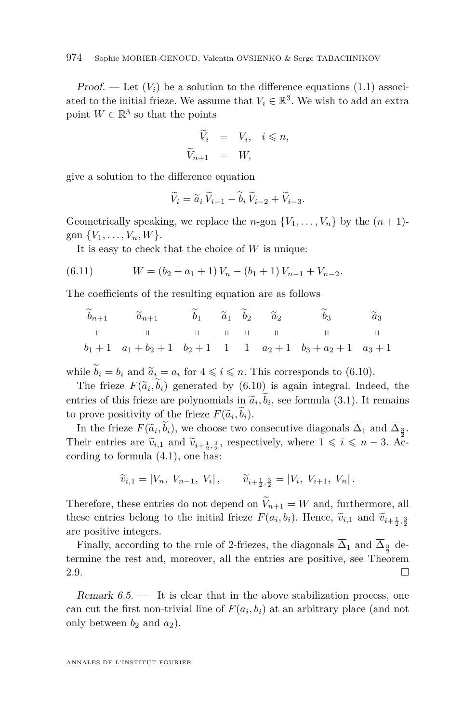Proof. — Let  $(V_i)$  be a solution to the difference equations  $(1.1)$  associated to the initial frieze. We assume that  $V_i \in \mathbb{R}^3$ . We wish to add an extra point  $W \in \mathbb{R}^3$  so that the points

$$
\begin{aligned}\n\widetilde{V}_i &= V_i, \quad i \leq n, \\
\widetilde{V}_{n+1} &= W, \end{aligned}
$$

give a solution to the difference equation

$$
\widetilde{V}_i = \widetilde{a}_i \,\widetilde{V}_{i-1} - \widetilde{b}_i \,\widetilde{V}_{i-2} + \widetilde{V}_{i-3}.
$$

Geometrically speaking, we replace the *n*-gon  $\{V_1, \ldots, V_n\}$  by the  $(n + 1)$ gon  $\{V_1, \ldots, V_n, W\}$ .

It is easy to check that the choice of *W* is unique:

(6.11) 
$$
W = (b_2 + a_1 + 1) V_n - (b_1 + 1) V_{n-1} + V_{n-2}.
$$

The coefficients of the resulting equation are as follows

<sup>e</sup>*bn*+1 <sup>e</sup>*an*+1 <sup>e</sup>*b*<sup>1</sup> <sup>e</sup>*a*<sup>1</sup> <sup>e</sup>*b*<sup>2</sup> <sup>e</sup>*a*<sup>2</sup> <sup>e</sup>*b*<sup>3</sup> <sup>e</sup>*a*<sup>3</sup> q q q q q q q q *b*<sup>1</sup> + 1 *a*<sup>1</sup> + *b*<sup>2</sup> + 1 *b*<sup>2</sup> + 1 1 1 *a*<sup>2</sup> + 1 *b*<sup>3</sup> + *a*<sup>2</sup> + 1 *a*<sup>3</sup> + 1

while  $\tilde{b}_i = b_i$  and  $\tilde{a}_i = a_i$  for  $4 \leq i \leq n$ . This corresponds to [\(6.10\)](#page-37-0).

The frieze  $F(\tilde{a}_i, b_i)$  generated by [\(6.10\)](#page-37-0) is again integral. Indeed, the entries of this frieze are polynomials in  $\tilde{a}_i, b_i$ , see formula [\(3.1\)](#page-14-0). It remains to prove positivity of the friene  $F(\tilde{\lambda})$ to prove positivity of the frieze  $F(\widetilde{a}_i, b_i)$ .<br>
In the frieze  $F(\widetilde{a}_i, \widetilde{b}_i)$  are chosen true of

In the frieze  $F(\tilde{a}_i, b_i)$ , we choose two consecutive diagonals  $\Delta_1$  and  $\Delta_{\frac{3}{2}}$ . Their entries are  $\tilde{v}_{i,1}$  and  $\tilde{v}_{i+\frac{1}{2},\frac{3}{2}}$ , respectively, where  $1 \leq i \leq n-3$ . According to formula (4.1) and has cording to formula [\(4.1\)](#page-17-0), one has:

$$
\widetilde{v}_{i,1} = |V_n, V_{n-1}, V_i|, \qquad \widetilde{v}_{i+\frac{1}{2},\frac{3}{2}} = |V_i, V_{i+1}, V_n|.
$$

Therefore, these entries do not depend on  $\widetilde{V}_{n+1} = W$  and, furthermore, all these entries belong to the initial frieze  $F(a_i, b_i)$ . Hence,  $\tilde{v}_{i,1}$  and  $\tilde{v}_{i+\frac{1}{2},\frac{3}{2}}$ are positive integers.

Finally, according to the rule of 2-friezes, the diagonals  $\Delta_1$  and  $\Delta_{\frac{3}{2}}$  determine the rest and, moreover, all the entries are positive, see Theorem [2.9.](#page-11-0)  $\Box$ 

Remark  $6.5.$  — It is clear that in the above stabilization process, one can cut the first non-trivial line of  $F(a_i, b_i)$  at an arbitrary place (and not only between  $b_2$  and  $a_2$ ).

ANNALES DE L'INSTITUT FOURIER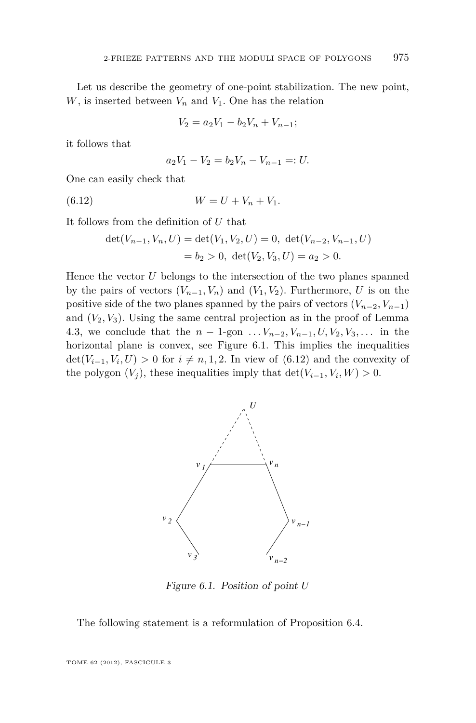Let us describe the geometry of one-point stabilization. The new point,  $W$ , is inserted between  $V_n$  and  $V_1$ . One has the relation

$$
V_2 = a_2 V_1 - b_2 V_n + V_{n-1};
$$

it follows that

$$
a_2V_1 - V_2 = b_2V_n - V_{n-1} =: U.
$$

One can easily check that

(6.12) 
$$
W = U + V_n + V_1.
$$

It follows from the definition of *U* that

$$
det(V_{n-1}, V_n, U) = det(V_1, V_2, U) = 0, det(V_{n-2}, V_{n-1}, U)
$$
  
=  $b_2 > 0$ , det $(V_2, V_3, U) = a_2 > 0$ .

Hence the vector *U* belongs to the intersection of the two planes spanned by the pairs of vectors  $(V_{n-1}, V_n)$  and  $(V_1, V_2)$ . Furthermore, *U* is on the positive side of the two planes spanned by the pairs of vectors  $(V_{n-2}, V_{n-1})$ and  $(V_2, V_3)$ . Using the same central projection as in the proof of Lemma [4.3,](#page-21-0) we conclude that the  $n-1$ -gon  $\dots V_{n-2}, V_{n-1}, U, V_2, V_3, \dots$  in the horizontal plane is convex, see Figure 6.1. This implies the inequalities  $\det(V_{i-1}, V_i, U) > 0$  for  $i \neq n, 1, 2$ . In view of (6.12) and the convexity of the polygon  $(V_j)$ , these inequalities imply that  $\det(V_{i-1}, V_i, W) > 0$ .



Figure 6.1. Position of point *U*

The following statement is a reformulation of Proposition [6.4.](#page-37-0)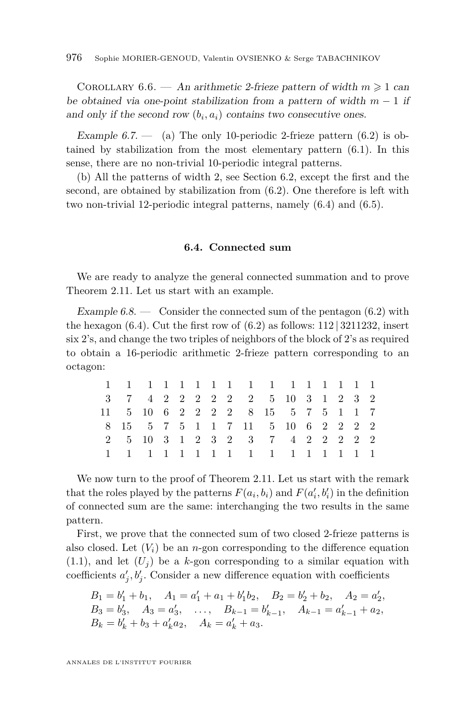<span id="page-40-0"></span>COROLLARY 6.6. — An arithmetic 2-frieze pattern of width  $m \geq 1$  can be obtained via one-point stabilization from a pattern of width *m* − 1 if and only if the second row  $(b_i, a_i)$  contains two consecutive ones.

Example 6.7.  $\qquad$  (a) The only 10-periodic 2-frieze pattern [\(6.2\)](#page-34-0) is obtained by stabilization from the most elementary pattern [\(6.1\)](#page-34-0). In this sense, there are no non-trivial 10-periodic integral patterns.

(b) All the patterns of width 2, see Section [6.2,](#page-35-0) except the first and the second, are obtained by stabilization from [\(6.2\)](#page-34-0). One therefore is left with two non-trivial 12-periodic integral patterns, namely [\(6.4\)](#page-35-0) and [\(6.5\)](#page-35-0).

### **6.4. Connected sum**

We are ready to analyze the general connected summation and to prove Theorem [2.11.](#page-13-0) Let us start with an example.

Example  $6.8.$  — Consider the connected sum of the pentagon  $(6.2)$  with the hexagon  $(6.4)$ . Cut the first row of  $(6.2)$  as follows: 112 | 3211232, insert six 2's, and change the two triples of neighbors of the block of 2's as required to obtain a 16-periodic arithmetic 2-frieze pattern corresponding to an octagon:

|  |  |  |  | 1 1 1 1 1 1 1 1 1 1 1 1 1 1 1 1    |  |  |  |  |
|--|--|--|--|------------------------------------|--|--|--|--|
|  |  |  |  | 3 7 4 2 2 2 2 2 2 5 10 3 1 2 3 2   |  |  |  |  |
|  |  |  |  | 11 5 10 6 2 2 2 2 8 15 5 7 5 1 1 7 |  |  |  |  |
|  |  |  |  | 8 15 5 7 5 1 1 7 11 5 10 6 2 2 2 2 |  |  |  |  |
|  |  |  |  | 2 5 10 3 1 2 3 2 3 7 4 2 2 2 2 2   |  |  |  |  |
|  |  |  |  | 1 1 1 1 1 1 1 1 1 1 1 1 1 1 1 1    |  |  |  |  |

We now turn to the proof of Theorem [2.11.](#page-13-0) Let us start with the remark that the roles played by the patterns  $F(a_i, b_i)$  and  $F(a'_i, b'_i)$  in the definition of connected sum are the same: interchanging the two results in the same pattern.

First, we prove that the connected sum of two closed 2-frieze patterns is also closed. Let  $(V_i)$  be an *n*-gon corresponding to the difference equation  $(1.1)$ , and let  $(U_i)$  be a *k*-gon corresponding to a similar equation with coefficients  $a'_{j}$ ,  $b'_{j}$ . Consider a new difference equation with coefficients

$$
B_1 = b'_1 + b_1, \quad A_1 = a'_1 + a_1 + b'_1 b_2, \quad B_2 = b'_2 + b_2, \quad A_2 = a'_2, B_3 = b'_3, \quad A_3 = a'_3, \quad \dots, \quad B_{k-1} = b'_{k-1}, \quad A_{k-1} = a'_{k-1} + a_2, B_k = b'_k + b_3 + a'_k a_2, \quad A_k = a'_k + a_3.
$$

ANNALES DE L'INSTITUT FOURIER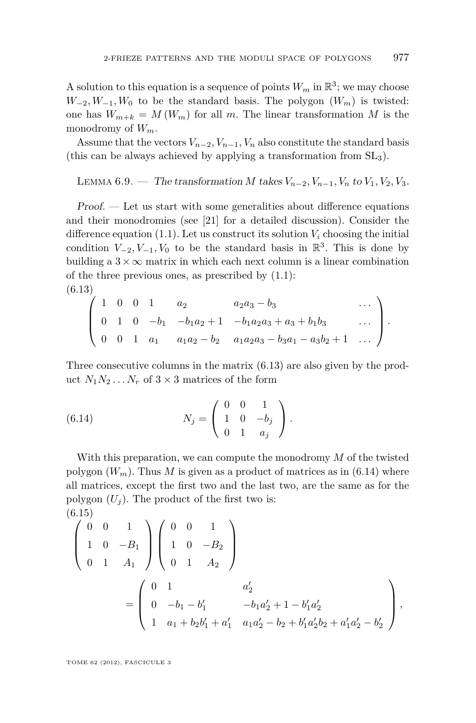<span id="page-41-0"></span>A solution to this equation is a sequence of points  $W_m$  in  $\mathbb{R}^3$ ; we may choose  $W_{-2}, W_{-1}, W_0$  to be the standard basis. The polygon  $(W_m)$  is twisted: one has  $W_{m+k} = M(W_m)$  for all m. The linear transformation M is the monodromy of *Wm*.

Assume that the vectors  $V_{n-2}$ ,  $V_{n-1}$ ,  $V_n$  also constitute the standard basis (this can be always achieved by applying a transformation from SL3).

LEMMA 6.9. — The transformation *M* takes  $V_{n-2}$ ,  $V_{n-1}$ ,  $V_n$  to  $V_1$ ,  $V_2$ ,  $V_3$ .

Proof. — Let us start with some generalities about difference equations and their monodromies (see [\[21\]](#page-51-0) for a detailed discussion). Consider the difference equation  $(1.1)$ . Let us construct its solution  $V_i$  choosing the initial condition  $V_{-2}$ ,  $V_{-1}$ ,  $V_0$  to be the standard basis in  $\mathbb{R}^3$ . This is done by building a  $3 \times \infty$  matrix in which each next column is a linear combination of the three previous ones, as prescribed by  $(1.1)$ : (6.13)

$$
\left(\begin{array}{ccccccccc}\n1 & 0 & 0 & 1 & a_2 & a_2a_3-b_3 & \cdots \\
0 & 1 & 0 & -b_1 & -b_1a_2+1 & -b_1a_2a_3+a_3+b_1b_3 & \cdots \\
0 & 0 & 1 & a_1 & a_1a_2-b_2 & a_1a_2a_3-b_3a_1-a_3b_2+1 & \cdots\n\end{array}\right).
$$

Three consecutive columns in the matrix (6.13) are also given by the product  $N_1N_2...N_r$  of  $3\times 3$  matrices of the form

(6.14) 
$$
N_j = \begin{pmatrix} 0 & 0 & 1 \\ 1 & 0 & -b_j \\ 0 & 1 & a_j \end{pmatrix}.
$$

With this preparation, we can compute the monodromy *M* of the twisted polygon  $(W_m)$ . Thus M is given as a product of matrices as in  $(6.14)$  where all matrices, except the first two and the last two, are the same as for the polygon  $(U_i)$ . The product of the first two is:  $(6.15)$ 

$$
\begin{pmatrix}\n0 & 0 & 1 \\
1 & 0 & -B_1 \\
0 & 1 & A_1\n\end{pmatrix}\n\begin{pmatrix}\n0 & 0 & 1 \\
1 & 0 & -B_2 \\
0 & 1 & A_2\n\end{pmatrix}
$$
\n
$$
= \begin{pmatrix}\n0 & 1 & a'_2 \\
0 & -b_1 - b'_1 & -b_1a'_2 + 1 - b'_1a'_2 \\
1 & a_1 + b_2b'_1 + a'_1 & a_1a'_2 - b_2 + b'_1a'_2b_2 + a'_1a'_2 - b'_2\n\end{pmatrix},
$$

TOME 62 (2012), FASCICULE 3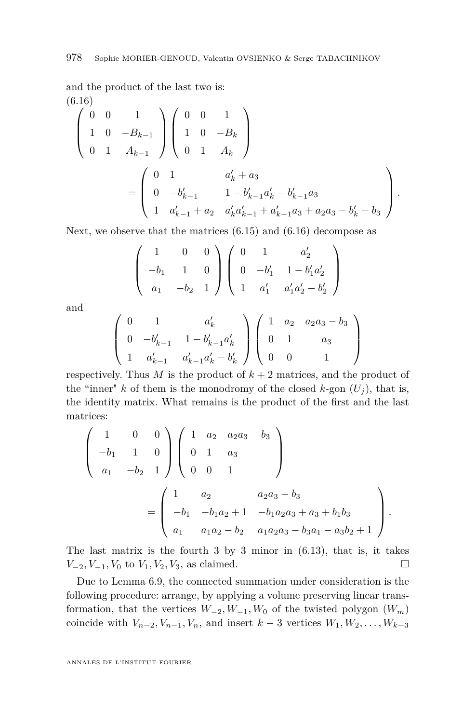and the product of the last two is: (6.16)

$$
\begin{pmatrix}\n0 & 0 & 1 \\
1 & 0 & -B_{k-1} \\
0 & 1 & A_{k-1}\n\end{pmatrix}\n\begin{pmatrix}\n0 & 0 & 1 \\
1 & 0 & -B_k \\
0 & 1 & A_k\n\end{pmatrix}
$$
\n
$$
= \begin{pmatrix}\n0 & 1 & a'_k + a_3 \\
0 & -b'_{k-1} & 1 - b'_{k-1}a'_k - b'_{k-1}a_3 \\
1 & a'_{k-1} + a_2 & a'_k a'_{k-1} + a'_{k-1}a_3 + a_2a_3 - b'_k - b_3\n\end{pmatrix}.
$$

Next, we observe that the matrices [\(6.15\)](#page-41-0) and (6.16) decompose as

$$
\left(\begin{array}{ccc} 1 & 0 & 0 \\ -b_1 & 1 & 0 \\ a_1 & -b_2 & 1 \end{array}\right) \left(\begin{array}{ccc} 0 & 1 & a'_2 \\ 0 & -b'_1 & 1 - b'_1 a'_2 \\ 1 & a'_1 & a'_1 a'_2 - b'_2 \end{array}\right)
$$

and

$$
\left(\begin{array}{ccc} 0 & 1 & a'_k \\[0.4em] 0 & -b'_{k-1} & 1-b'_{k-1}a'_k \\[0.4em] 1 & a'_{k-1} & a'_{k-1}a'_k-b'_k \end{array}\right) \left(\begin{array}{ccc} 1 & a_2 & a_2a_3-b_3 \\[0.4em] 0 & 1 & a_3 \\[0.4em] 0 & 0 & 1 \end{array}\right)
$$

respectively. Thus  $M$  is the product of  $k+2$  matrices, and the product of the "inner" *k* of them is the monodromy of the closed *k*-gon  $(U_i)$ , that is, the identity matrix. What remains is the product of the first and the last matrices:

$$
\begin{pmatrix}\n1 & 0 & 0 \\
-b_1 & 1 & 0 \\
a_1 & -b_2 & 1\n\end{pmatrix}\n\begin{pmatrix}\n1 & a_2 & a_2a_3 - b_3 \\
0 & 1 & a_3 \\
0 & 0 & 1\n\end{pmatrix}
$$
\n
$$
=\n\begin{pmatrix}\n1 & a_2 & a_2a_3 - b_3 \\
-b_1 & -b_1a_2 + 1 & -b_1a_2a_3 + a_3 + b_1b_3 \\
a_1 & a_1a_2 - b_2 & a_1a_2a_3 - b_3a_1 - a_3b_2 + 1\n\end{pmatrix}.
$$

The last matrix is the fourth 3 by 3 minor in [\(6.13\)](#page-41-0), that is, it takes *V*−2*, V*−1*, V*<sub>0</sub> to *V*<sub>1</sub>*, V*<sub>2</sub>*, V*<sub>3</sub>*,* as claimed. □

Due to Lemma [6.9,](#page-41-0) the connected summation under consideration is the following procedure: arrange, by applying a volume preserving linear transformation, that the vertices  $W_{-2}$ ,  $W_{-1}$ ,  $W_0$  of the twisted polygon  $(W_m)$ coincide with  $V_{n-2}, V_{n-1}, V_n$ , and insert  $k-3$  vertices  $W_1, W_2, \ldots, W_{k-3}$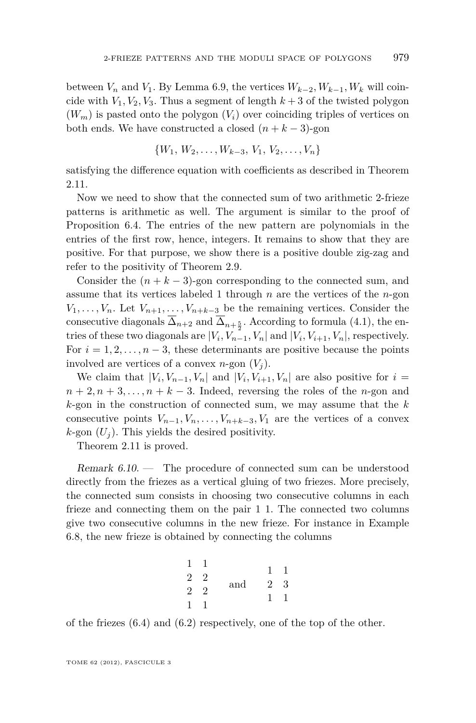between  $V_n$  and  $V_1$ . By Lemma [6.9,](#page-41-0) the vertices  $W_{k-2}$ ,  $W_{k-1}$ ,  $W_k$  will coincide with  $V_1, V_2, V_3$ . Thus a segment of length  $k+3$  of the twisted polygon  $(W_m)$  is pasted onto the polygon  $(V_i)$  over coinciding triples of vertices on both ends. We have constructed a closed  $(n + k - 3)$ -gon

 ${W_1, W_2, \ldots, W_{k-3}, V_1, V_2, \ldots, V_n}$ 

satisfying the difference equation with coefficients as described in Theorem [2.11.](#page-13-0)

Now we need to show that the connected sum of two arithmetic 2-frieze patterns is arithmetic as well. The argument is similar to the proof of Proposition [6.4.](#page-37-0) The entries of the new pattern are polynomials in the entries of the first row, hence, integers. It remains to show that they are positive. For that purpose, we show there is a positive double zig-zag and refer to the positivity of Theorem [2.9.](#page-11-0)

Consider the  $(n + k - 3)$ -gon corresponding to the connected sum, and assume that its vertices labeled 1 through *n* are the vertices of the *n*-gon  $V_1, \ldots, V_n$ . Let  $V_{n+1}, \ldots, V_{n+k-3}$  be the remaining vertices. Consider the consecutive diagonals  $\Delta_{n+2}$  and  $\Delta_{n+\frac{5}{2}}$ . According to formula [\(4.1\)](#page-17-0), the entries of these two diagonals are  $|V_i, V_{n-1}, V_n|$  and  $|V_i, V_{i+1}, V_n|$ , respectively. For  $i = 1, 2, \ldots, n-3$ , these determinants are positive because the points involved are vertices of a convex *n*-gon  $(V_i)$ .

We claim that  $|V_i, V_{n-1}, V_n|$  and  $|V_i, V_{i+1}, V_n|$  are also positive for  $i =$  $n+2, n+3, \ldots, n+k-3$ . Indeed, reversing the roles of the *n*-gon and *k*-gon in the construction of connected sum, we may assume that the *k* consecutive points  $V_{n-1}, V_n, \ldots, V_{n+k-3}, V_1$  are the vertices of a convex  $k$ -gon  $(U_i)$ . This yields the desired positivity.

Theorem [2.11](#page-13-0) is proved.

Remark 6.10. — The procedure of connected sum can be understood directly from the friezes as a vertical gluing of two friezes. More precisely, the connected sum consists in choosing two consecutive columns in each frieze and connecting them on the pair 1 1. The connected two columns give two consecutive columns in the new frieze. For instance in Example [6.8,](#page-40-0) the new frieze is obtained by connecting the columns

| 1              |   |     | 1 |   |
|----------------|---|-----|---|---|
| $\overline{2}$ | 2 |     |   |   |
|                |   | and | 2 | 3 |
| $\overline{2}$ | 2 |     |   |   |
|                |   |     | 1 |   |
| 1              |   |     |   |   |
|                |   |     |   |   |

of the friezes [\(6.4\)](#page-35-0) and [\(6.2\)](#page-34-0) respectively, one of the top of the other.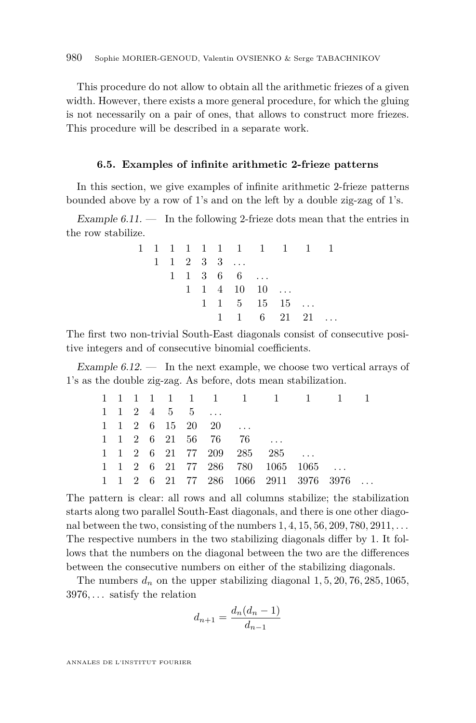This procedure do not allow to obtain all the arithmetic friezes of a given width. However, there exists a more general procedure, for which the gluing is not necessarily on a pair of ones, that allows to construct more friezes. This procedure will be described in a separate work.

### **6.5. Examples of infinite arithmetic 2-frieze patterns**

In this section, we give examples of infinite arithmetic 2-frieze patterns bounded above by a row of 1's and on the left by a double zig-zag of 1's.

Example  $6.11.$  — In the following 2-frieze dots mean that the entries in the row stabilize.

|  |  |  |                        | 1 1 1 1 1 1 1 1 1 1 1                              |  |  |
|--|--|--|------------------------|----------------------------------------------------|--|--|
|  |  |  | $1 \t1 \t2 \t3 \t3 \t$ |                                                    |  |  |
|  |  |  | $1 \t1 \t3 \t6 \t6 \t$ |                                                    |  |  |
|  |  |  |                        | $1 \quad 1 \quad 4 \quad 10 \quad 10 \quad \ldots$ |  |  |
|  |  |  |                        | $1 \quad 1 \quad 5 \quad 15 \quad 15 \quad \ldots$ |  |  |
|  |  |  |                        | 1 1 6 21 21                                        |  |  |

The first two non-trivial South-East diagonals consist of consecutive positive integers and of consecutive binomial coefficients.

Example  $6.12.$  — In the next example, we choose two vertical arrays of 1's as the double zig-zag. As before, dots mean stabilization.

|  |  |                            |                                                                     | 1 1 1 1 1 1 1 1 1 1 1 1                                                                                          |  |  |
|--|--|----------------------------|---------------------------------------------------------------------|------------------------------------------------------------------------------------------------------------------|--|--|
|  |  | $1 \t1 \t2 \t4 \t5 \t5 \t$ |                                                                     |                                                                                                                  |  |  |
|  |  |                            | $1 \quad 1 \quad 2 \quad 6 \quad 15 \quad 20 \quad 20 \quad \ldots$ |                                                                                                                  |  |  |
|  |  |                            |                                                                     | $1 \quad 1 \quad 2 \quad 6 \quad 21 \quad 56 \quad 76 \quad 76 \quad \ldots$                                     |  |  |
|  |  |                            |                                                                     | $1 \quad 1 \quad 2 \quad 6 \quad 21 \quad 77 \quad 209 \quad 285 \quad 285 \quad \ldots$                         |  |  |
|  |  |                            |                                                                     | $1 \quad 1 \quad 2 \quad 6 \quad 21 \quad 77 \quad 286 \quad 780 \quad 1065 \quad 1065 \quad \ldots$             |  |  |
|  |  |                            |                                                                     | $1 \quad 1 \quad 2 \quad 6 \quad 21 \quad 77 \quad 286 \quad 1066 \quad 2911 \quad 3976 \quad 3976 \quad \ldots$ |  |  |

The pattern is clear: all rows and all columns stabilize; the stabilization starts along two parallel South-East diagonals, and there is one other diagonal between the two, consisting of the numbers 1*,* 4*,* 15*,* 56*,* 209*,* 780*,* 2911*, . . .* The respective numbers in the two stabilizing diagonals differ by 1. It follows that the numbers on the diagonal between the two are the differences between the consecutive numbers on either of the stabilizing diagonals.

The numbers  $d_n$  on the upper stabilizing diagonal  $1, 5, 20, 76, 285, 1065$ , 3976*, . . .* satisfy the relation

$$
d_{n+1} = \frac{d_n(d_n - 1)}{d_{n-1}}
$$

ANNALES DE L'INSTITUT FOURIER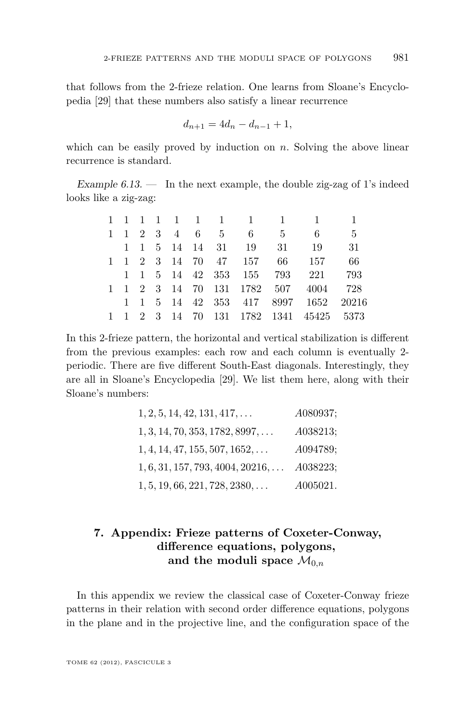that follows from the 2-frieze relation. One learns from Sloane's Encyclopedia [\[29\]](#page-51-0) that these numbers also satisfy a linear recurrence

$$
d_{n+1} = 4d_n - d_{n-1} + 1,
$$

which can be easily proved by induction on *n*. Solving the above linear recurrence is standard.

Example  $6.13.$  — In the next example, the double zig-zag of 1's indeed looks like a zig-zag:

|  |  |  |  |                     | 1 1 1 1 1 1 1 1 1 1 1                  |       |
|--|--|--|--|---------------------|----------------------------------------|-------|
|  |  |  |  | 1 1 2 3 4 6 5 6 5 6 |                                        | $5\,$ |
|  |  |  |  |                     | 1 1 5 14 14 31 19 31 19                | - 31  |
|  |  |  |  |                     | 1 1 2 3 14 70 47 157 66 157            | - 66  |
|  |  |  |  |                     | 1 1 5 14 42 353 155 793 221 793        |       |
|  |  |  |  |                     | 1 1 2 3 14 70 131 1782 507 4004 728    |       |
|  |  |  |  |                     | 1 1 5 14 42 353 417 8997 1652 20216    |       |
|  |  |  |  |                     | 1 1 2 3 14 70 131 1782 1341 45425 5373 |       |

In this 2-frieze pattern, the horizontal and vertical stabilization is different from the previous examples: each row and each column is eventually 2 periodic. There are five different South-East diagonals. Interestingly, they are all in Sloane's Encyclopedia [\[29\]](#page-51-0). We list them here, along with their Sloane's numbers:

| $1, 2, 5, 14, 42, 131, 417, \ldots$       | A080937; |
|-------------------------------------------|----------|
| $1, 3, 14, 70, 353, 1782, 8997, \ldots$   | A038213; |
| $1, 4, 14, 47, 155, 507, 1652, \ldots$    | A094789; |
| $1, 6, 31, 157, 793, 4004, 20216, \ldots$ | A038223; |
| $1, 5, 19, 66, 221, 728, 2380, \ldots$    | A005021. |

### **7. Appendix: Frieze patterns of Coxeter-Conway, difference equations, polygons,** and the moduli space  $\mathcal{M}_{0,n}$

In this appendix we review the classical case of Coxeter-Conway frieze patterns in their relation with second order difference equations, polygons in the plane and in the projective line, and the configuration space of the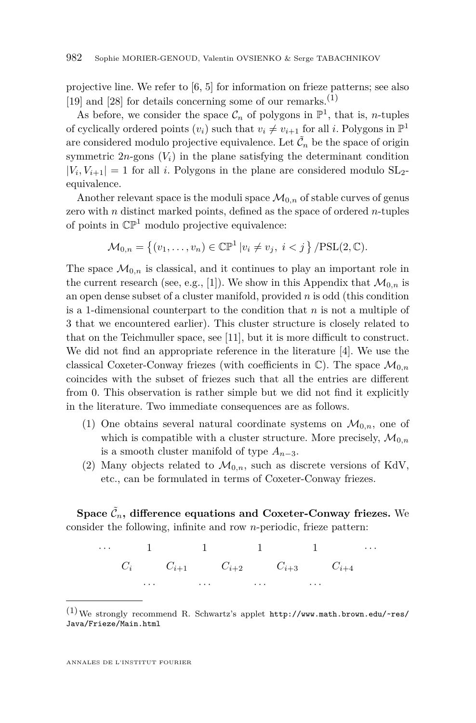projective line. We refer to [\[6,](#page-50-0) [5\]](#page-50-0) for information on frieze patterns; see also [\[19\]](#page-50-0) and [\[28\]](#page-51-0) for details concerning some of our remarks.<sup>(1)</sup>

As before, we consider the space  $\mathcal{C}_n$  of polygons in  $\mathbb{P}^1$ , that is, *n*-tuples of cyclically ordered points  $(v_i)$  such that  $v_i \neq v_{i+1}$  for all *i*. Polygons in  $\mathbb{P}^1$ are considered modulo projective equivalence. Let  $\tilde{\mathcal{C}}_n$  be the space of origin symmetric  $2n$ -gons  $(V_i)$  in the plane satisfying the determinant condition  $|V_i, V_{i+1}| = 1$  for all *i*. Polygons in the plane are considered modulo  $SL_2$ equivalence.

Another relevant space is the moduli space  $\mathcal{M}_{0,n}$  of stable curves of genus zero with *n* distinct marked points, defined as the space of ordered *n*-tuples of points in  $\mathbb{CP}^1$  modulo projective equivalence:

$$
\mathcal{M}_{0,n} = \left\{ (v_1, \ldots, v_n) \in \mathbb{CP}^1 \, | v_i \neq v_j, \ i < j \right\} / \mathrm{PSL}(2, \mathbb{C}).
$$

The space  $\mathcal{M}_{0,n}$  is classical, and it continues to play an important role in the current research (see, e.g., [\[1\]](#page-50-0)). We show in this Appendix that  $\mathcal{M}_{0,n}$  is an open dense subset of a cluster manifold, provided *n* is odd (this condition is a 1-dimensional counterpart to the condition that *n* is not a multiple of 3 that we encountered earlier). This cluster structure is closely related to that on the Teichmuller space, see [\[11\]](#page-50-0), but it is more difficult to construct. We did not find an appropriate reference in the literature [\[4\]](#page-50-0). We use the classical Coxeter-Conway friezes (with coefficients in  $\mathbb{C}$ ). The space  $\mathcal{M}_{0,n}$ coincides with the subset of friezes such that all the entries are different from 0. This observation is rather simple but we did not find it explicitly in the literature. Two immediate consequences are as follows.

- (1) One obtains several natural coordinate systems on  $\mathcal{M}_{0,n}$ , one of which is compatible with a cluster structure. More precisely,  $\mathcal{M}_{0,n}$ is a smooth cluster manifold of type  $A_{n-3}$ .
- (2) Many objects related to  $\mathcal{M}_{0,n}$ , such as discrete versions of KdV, etc., can be formulated in terms of Coxeter-Conway friezes.

 $\text{Space } \tilde{\mathcal{C}}_n$ , difference equations and Coxeter-Conway friezes. We consider the following, infinite and row *n*-periodic, frieze pattern:

$$
\begin{array}{ccccccccc}\n\cdots & & 1 & & 1 & & 1 & & 1 & & \cdots \\
C_i & & C_{i+1} & & C_{i+2} & & C_{i+3} & & C_{i+4} & \\
& & \cdots & & \cdots & & \cdots & & \cdots\n\end{array}
$$

 $(1)$ We strongly recommend R. Schwartz's applet [http://www.math.brown.edu/~res/](http://www.math.brown.edu/~res/Java/Frieze/Main.html) [Java/Frieze/Main.html](http://www.math.brown.edu/~res/Java/Frieze/Main.html)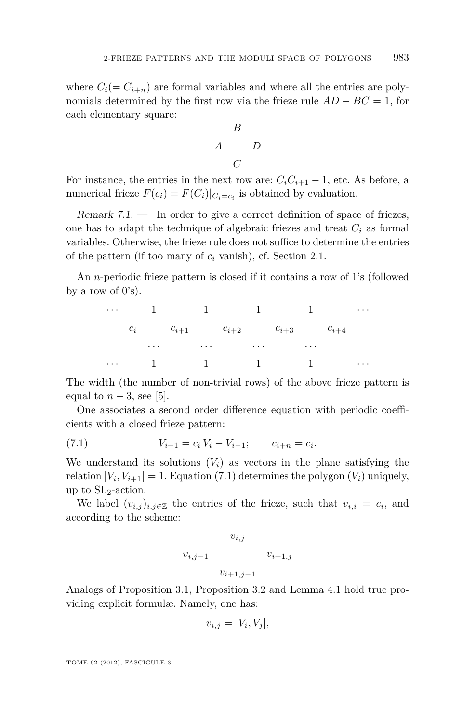<span id="page-47-0"></span>where  $C_i (= C_{i+n})$  are formal variables and where all the entries are polynomials determined by the first row via the frieze rule  $AD - BC = 1$ , for each elementary square:

$$
\begin{array}{ccc}\n & B \\
A & D \\
C & \n\end{array}
$$

For instance, the entries in the next row are:  $C_i C_{i+1} - 1$ , etc. As before, a numerical frieze  $F(c_i) = F(C_i)|_{C_i = c_i}$  is obtained by evaluation.

Remark  $7.1.$  — In order to give a correct definition of space of friezes, one has to adapt the technique of algebraic friezes and treat  $C_i$  as formal variables. Otherwise, the frieze rule does not suffice to determine the entries of the pattern (if too many of *c<sup>i</sup>* vanish), cf. Section [2.1.](#page-7-0)

An *n*-periodic frieze pattern is closed if it contains a row of 1's (followed by a row of  $0's$ ).

|  |  | $\cdots$ 1 1 1 1 1 1 $\cdots$                                                                                                                                                                                                  |  |  |  |
|--|--|--------------------------------------------------------------------------------------------------------------------------------------------------------------------------------------------------------------------------------|--|--|--|
|  |  | $\hspace{.15cm} c_i \hspace{1.1cm} c_{i+1} \hspace{1.1cm} c_{i+2} \hspace{1.1cm} c_{i+3} \hspace{1.1cm} c_{i+4}$                                                                                                               |  |  |  |
|  |  | and the control of the control of the control of the control of the control of the control of the control of the control of the control of the control of the control of the control of the control of the control of the cont |  |  |  |
|  |  | $\cdots \qquad \quad 1 \qquad \quad \  \  1 \qquad \quad \  \  1 \qquad \quad \  \  \, 1 \qquad \quad \  \  \cdots$                                                                                                            |  |  |  |

The width (the number of non-trivial rows) of the above frieze pattern is equal to  $n-3$ , see [\[5\]](#page-50-0).

One associates a second order difference equation with periodic coefficients with a closed frieze pattern:

(7.1) 
$$
V_{i+1} = c_i V_i - V_{i-1}; \qquad c_{i+n} = c_i.
$$

We understand its solutions  $(V<sub>i</sub>)$  as vectors in the plane satisfying the relation  $|V_i, V_{i+1}| = 1$ . Equation (7.1) determines the polygon  $(V_i)$  uniquely, up to  $SL_2$ -action.

We label  $(v_{i,j})_{i,j\in\mathbb{Z}}$  the entries of the frieze, such that  $v_{i,i} = c_i$ , and according to the scheme:

$$
\label{eq:2} \begin{array}{ccccc} & & v_{i,j} & & \\ & & v_{i,j-1} & & v_{i+1,j} & \\ & & & v_{i+1,j-1} & & \\ \end{array}
$$

Analogs of Proposition [3.1,](#page-14-0) Proposition [3.2](#page-15-0) and Lemma [4.1](#page-17-0) hold true providing explicit formulæ. Namely, one has:

$$
v_{i,j} = |V_i, V_j|,
$$

TOME 62 (2012), FASCICULE 3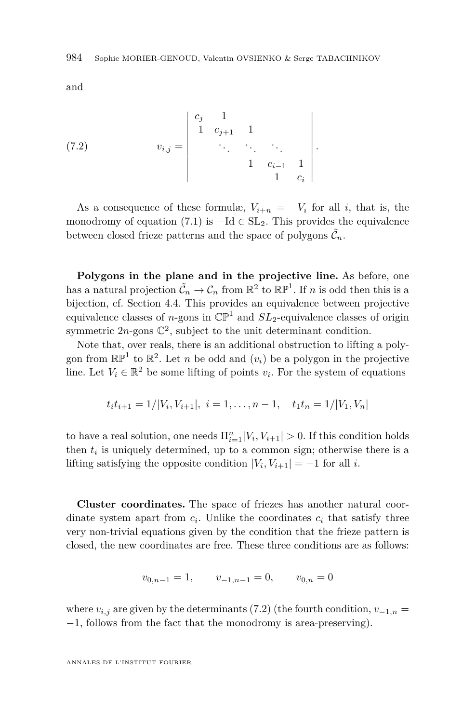and

(7.2) 
$$
v_{i,j} = \begin{vmatrix} c_j & 1 & & & \\ 1 & c_{j+1} & 1 & & \\ & \ddots & \ddots & \ddots & \\ & & 1 & c_{i-1} & 1 \\ & & & 1 & c_i \end{vmatrix}.
$$

As a consequence of these formulæ,  $V_{i+n} = -V_i$  for all *i*, that is, the monodromy of equation [\(7.1\)](#page-47-0) is  $-\text{Id} \in SL_2$ . This provides the equivalence between closed frieze patterns and the space of polygons  $\tilde{\mathcal{C}}_n$ .

**Polygons in the plane and in the projective line.** As before, one has a natural projection  $\tilde{C}_n \to \mathcal{C}_n$  from  $\mathbb{R}^2$  to  $\mathbb{RP}^1$ . If *n* is odd then this is a bijection, cf. Section [4.4.](#page-20-0) This provides an equivalence between projective equivalence classes of *n*-gons in  $\mathbb{CP}^1$  and  $SL_2$ -equivalence classes of origin symmetric  $2n$ -gons  $\mathbb{C}^2$ , subject to the unit determinant condition.

Note that, over reals, there is an additional obstruction to lifting a polygon from  $\mathbb{RP}^1$  to  $\mathbb{R}^2$ . Let *n* be odd and  $(v_i)$  be a polygon in the projective line. Let  $V_i \in \mathbb{R}^2$  be some lifting of points  $v_i$ . For the system of equations

$$
t_i t_{i+1} = 1/|V_i, V_{i+1}|, i = 1, \dots, n-1, t_1 t_n = 1/|V_1, V_n|
$$

to have a real solution, one needs  $\Pi_{i=1}^n |V_i, V_{i+1}| > 0$ . If this condition holds then  $t_i$  is uniquely determined, up to a common sign; otherwise there is a lifting satisfying the opposite condition  $|V_i, V_{i+1}| = -1$  for all *i*.

**Cluster coordinates.** The space of friezes has another natural coordinate system apart from  $c_i$ . Unlike the coordinates  $c_i$  that satisfy three very non-trivial equations given by the condition that the frieze pattern is closed, the new coordinates are free. These three conditions are as follows:

$$
v_{0,n-1} = 1, \qquad v_{-1,n-1} = 0, \qquad v_{0,n} = 0
$$

where  $v_{i,j}$  are given by the determinants (7.2) (the fourth condition,  $v_{-1,n} =$ −1, follows from the fact that the monodromy is area-preserving).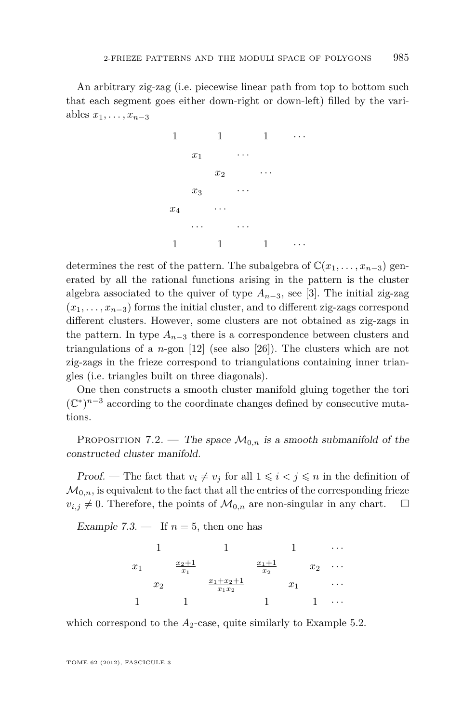An arbitrary zig-zag (i.e. piecewise linear path from top to bottom such that each segment goes either down-right or down-left) filled by the variables  $x_1, \ldots, x_{n-3}$ 



determines the rest of the pattern. The subalgebra of  $\mathbb{C}(x_1, \ldots, x_{n-3})$  generated by all the rational functions arising in the pattern is the cluster algebra associated to the quiver of type  $A_{n-3}$ , see [\[3\]](#page-50-0). The initial zig-zag  $(x_1, \ldots, x_{n-3})$  forms the initial cluster, and to different zig-zags correspond different clusters. However, some clusters are not obtained as zig-zags in the pattern. In type  $A_{n-3}$  there is a correspondence between clusters and triangulations of a *n*-gon [\[12\]](#page-50-0) (see also [\[26\]](#page-51-0)). The clusters which are not zig-zags in the frieze correspond to triangulations containing inner triangles (i.e. triangles built on three diagonals).

One then constructs a smooth cluster manifold gluing together the tori  $(\mathbb{C}^*)^{n-3}$  according to the coordinate changes defined by consecutive mutations.

PROPOSITION 7.2. — The space  $\mathcal{M}_{0,n}$  is a smooth submanifold of the constructed cluster manifold.

Proof. — The fact that  $v_i \neq v_j$  for all  $1 \leq i \leq j \leq n$  in the definition of  $\mathcal{M}_{0,n}$ , is equivalent to the fact that all the entries of the corresponding frieze  $v_{i,j} \neq 0$ . Therefore, the points of  $\mathcal{M}_{0,n}$  are non-singular in any chart.  $\square$ 

Example 7.3.  $\overline{\phantom{0}}$  If  $n = 5$ , then one has



which correspond to the  $A_2$ -case, quite similarly to Example [5.2.](#page-25-0)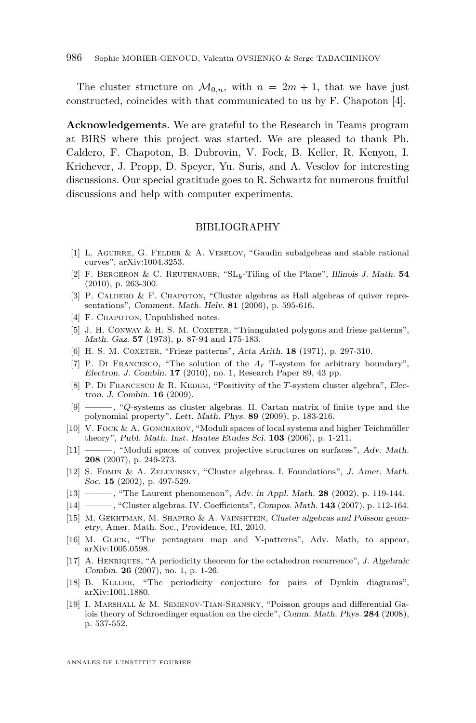<span id="page-50-0"></span>The cluster structure on  $\mathcal{M}_{0,n}$ , with  $n = 2m + 1$ , that we have just constructed, coincides with that communicated to us by F. Chapoton [4].

**Acknowledgements**. We are grateful to the Research in Teams program at BIRS where this project was started. We are pleased to thank Ph. Caldero, F. Chapoton, B. Dubrovin, V. Fock, B. Keller, R. Kenyon, I. Krichever, J. Propp, D. Speyer, Yu. Suris, and A. Veselov for interesting discussions. Our special gratitude goes to R. Schwartz for numerous fruitful discussions and help with computer experiments.

### BIBLIOGRAPHY

- [1] L. Aguirre, G. Felder & A. Veselov, "Gaudin subalgebras and stable rational curves", arXiv:1004.3253.
- [2] F. Bergeron & C. Reutenauer, "SL*k*-Tiling of the Plane", Illinois J. Math. **54** (2010), p. 263-300.
- [3] P. CALDERO  $&$  F. CHAPOTON, "Cluster algebras as Hall algebras of quiver representations", Comment. Math. Helv. **81** (2006), p. 595-616.
- [4] F. CHAPOTON, Unpublished notes.
- [5] J. H. CONWAY & H. S. M. COXETER, "Triangulated polygons and frieze patterns", Math. Gaz. **57** (1973), p. 87-94 and 175-183.
- [6] H. S. M. COXETER, "Frieze patterns", Acta Arith. **18** (1971), p. 297-310.
- [7] P. Di Francesco, "The solution of the *A<sup>r</sup>* T-system for arbitrary boundary", Electron. J. Combin. **17** (2010), no. 1, Research Paper 89, 43 pp.
- [8] P. DI FRANCESCO & R. KEDEM, "Positivity of the  $T$ -system cluster algebra", Electron. J. Combin. **16** (2009).
- [9] ——— , "*Q*-systems as cluster algebras. II. Cartan matrix of finite type and the polynomial property", Lett. Math. Phys. **89** (2009), p. 183-216.
- [10] V. Fock & A. Goncharov, "Moduli spaces of local systems and higher Teichmüller theory", Publ. Math. Inst. Hautes Etudes Sci. **103** (2006), p. 1-211.
- [11] ——— , "Moduli spaces of convex projective structures on surfaces", Adv. Math. **208** (2007), p. 249-273.
- [12] S. Fomin & A. Zelevinsky, "Cluster algebras. I. Foundations", J. Amer. Math. Soc. **15** (2002), p. 497-529.
- [13] ——— , "The Laurent phenomenon", Adv. in Appl. Math. **28** (2002), p. 119-144.
- [14] ——— , "Cluster algebras. IV. Coefficients", Compos. Math. **143** (2007), p. 112-164.
- [15] M. Gekhtman, M. Shapiro & A. Vainshtein, Cluster algebras and Poisson geometry, Amer. Math. Soc., Providence, RI, 2010.
- [16] M. Glick, "The pentagram map and Y-patterns", Adv. Math, to appear, arXiv:1005.0598.
- [17] A. Henriques, "A periodicity theorem for the octahedron recurrence", J. Algebraic Combin. **26** (2007), no. 1, p. 1-26.
- [18] B. Keller, "The periodicity conjecture for pairs of Dynkin diagrams", arXiv:1001.1880.
- [19] I. Marshall & M. Semenov-Tian-Shansky, "Poisson groups and differential Galois theory of Schroedinger equation on the circle", Comm. Math. Phys. **284** (2008), p. 537-552.